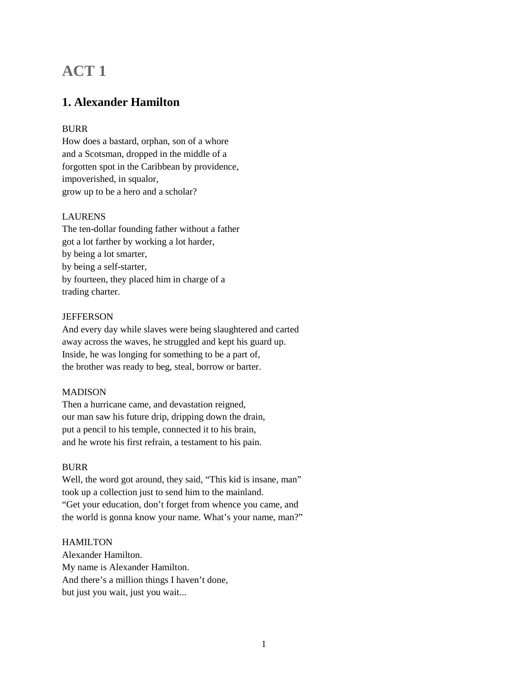# **ACT 1**

# **1. Alexander Hamilton**

# BURR

How does a bastard, orphan, son of a whore and a Scotsman, dropped in the middle of a forgotten spot in the Caribbean by providence, impoverished, in squalor, grow up to be a hero and a scholar?

### **LAURENS**

The ten-dollar founding father without a father got a lot farther by working a lot harder, by being a lot smarter, by being a self-starter, by fourteen, they placed him in charge of a trading charter.

### **JEFFERSON**

And every day while slaves were being slaughtered and carted away across the waves, he struggled and kept his guard up. Inside, he was longing for something to be a part of, the brother was ready to beg, steal, borrow or barter.

### MADISON

Then a hurricane came, and devastation reigned, our man saw his future drip, dripping down the drain, put a pencil to his temple, connected it to his brain, and he wrote his first refrain, a testament to his pain.

### BURR

Well, the word got around, they said, "This kid is insane, man" took up a collection just to send him to the mainland. "Get your education, don't forget from whence you came, and the world is gonna know your name. What's your name, man?"

### HAMILTON

Alexander Hamilton. My name is Alexander Hamilton. And there's a million things I haven't done, but just you wait, just you wait...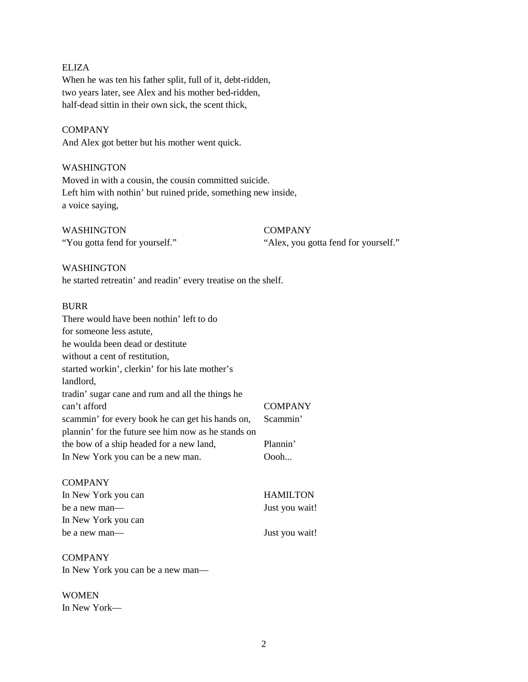### ELIZA

When he was ten his father split, full of it, debt-ridden, two years later, see Alex and his mother bed-ridden, half-dead sittin in their own sick, the scent thick,

# **COMPANY**

And Alex got better but his mother went quick.

#### WASHINGTON

Moved in with a cousin, the cousin committed suicide. Left him with nothin' but ruined pride, something new inside, a voice saying,

#### WASHINGTON

**COMPANY** 

**HAMILTON** Just you wait!

Just you wait!

"You gotta fend for yourself."

"Alex, you gotta fend for yourself."

#### WASHINGTON

he started retreatin' and readin' every treatise on the shelf.

#### BURR

There would have been nothin' left to do for someone less astute, he woulda been dead or destitute without a cent of restitution, started workin', clerkin' for his late mother's landlord, tradin' sugar cane and rum and all the things he can't afford scammin' for every book he can get his hands on, plannin' for the future see him now as he stands on the bow of a ship headed for a new land, In New York you can be a new man. **COMPANY** Scammin' Plannin' Oooh...

#### **COMPANY**

In New York you can be a new man— In New York you can be a new man—

**COMPANY** In New York you can be a new man—

WOMEN In New York—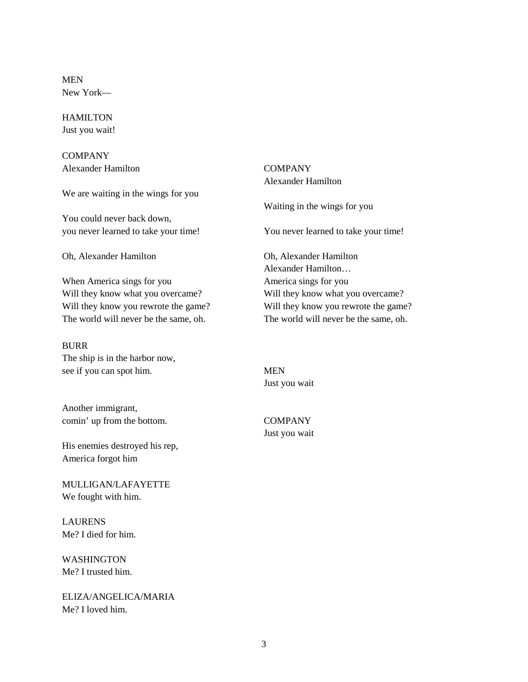MEN New York—

### **HAMILTON** Just you wait!

**COMPANY** Alexander Hamilton

We are waiting in the wings for you

You could never back down, you never learned to take your time!

Oh, Alexander Hamilton

When America sings for you Will they know what you overcame? Will they know you rewrote the game? The world will never be the same, oh.

BURR The ship is in the harbor now,

see if you can spot him.

Another immigrant, comin' up from the bottom.

His enemies destroyed his rep, America forgot him

MULLIGAN/LAFAYETTE We fought with him.

LAURENS Me? I died for him.

WASHINGTON Me? I trusted him.

ELIZA/ANGELICA/MARIA Me? I loved him.

**COMPANY** Alexander Hamilton

Waiting in the wings for you

You never learned to take your time!

Oh, Alexander Hamilton Alexander Hamilton… America sings for you Will they know what you overcame? Will they know you rewrote the game? The world will never be the same, oh.

MEN Just you wait

**COMPANY** Just you wait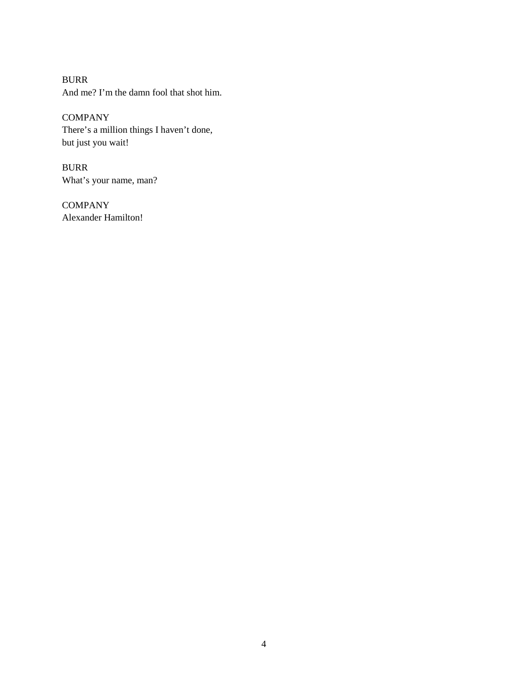BURR And me? I'm the damn fool that shot him.

**COMPANY** There's a million things I haven't done, but just you wait!

BURR What's your name, man?

**COMPANY** Alexander Hamilton!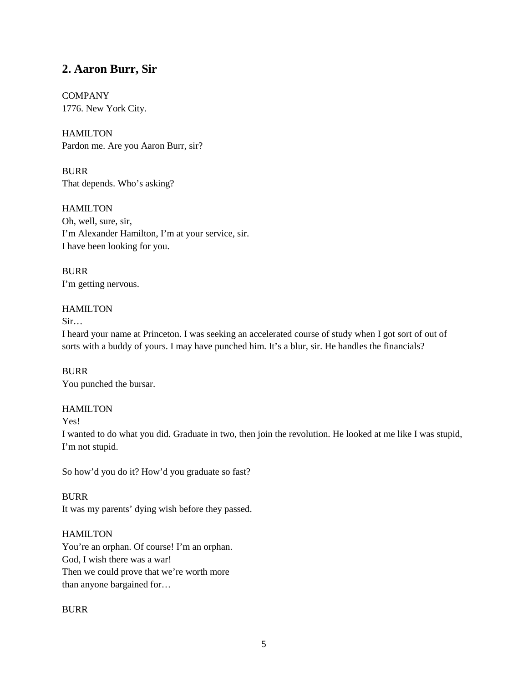# **2. Aaron Burr, Sir**

**COMPANY** 1776. New York City.

**HAMILTON** Pardon me. Are you Aaron Burr, sir?

BURR That depends. Who's asking?

**HAMILTON** Oh, well, sure, sir, I'm Alexander Hamilton, I'm at your service, sir. I have been looking for you.

BURR I'm getting nervous.

### **HAMILTON**

### Sir…

I heard your name at Princeton. I was seeking an accelerated course of study when I got sort of out of sorts with a buddy of yours. I may have punched him. It's a blur, sir. He handles the financials?

# BURR

You punched the bursar.

# **HAMILTON**

Yes!

I wanted to do what you did. Graduate in two, then join the revolution. He looked at me like I was stupid, I'm not stupid.

So how'd you do it? How'd you graduate so fast?

### BURR

It was my parents' dying wish before they passed.

# **HAMILTON**

You're an orphan. Of course! I'm an orphan. God, I wish there was a war! Then we could prove that we're worth more than anyone bargained for…

### BURR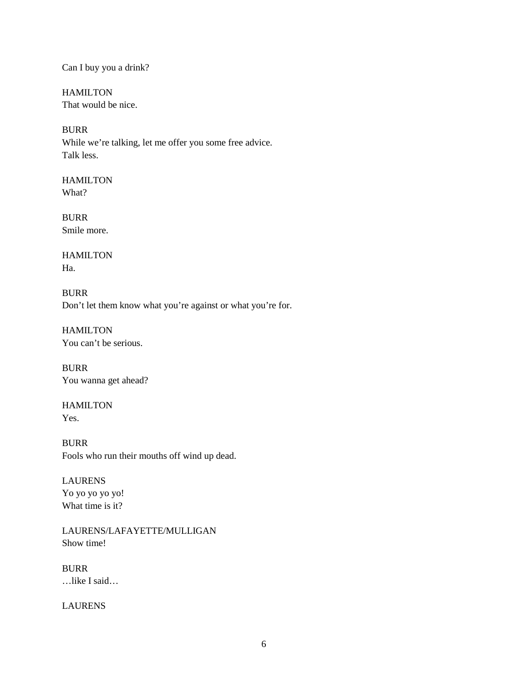Can I buy you a drink?

**HAMILTON** That would be nice.

BURR While we're talking, let me offer you some free advice. Talk less.

**HAMILTON** What?

BURR Smile more.

**HAMILTON** Ha.

BURR Don't let them know what you're against or what you're for.

**HAMILTON** You can't be serious.

BURR You wanna get ahead?

**HAMILTON** Yes.

BURR Fools who run their mouths off wind up dead.

LAURENS Yo yo yo yo yo! What time is it?

LAURENS/LAFAYETTE/MULLIGAN Show time!

BURR …like I said…

LAURENS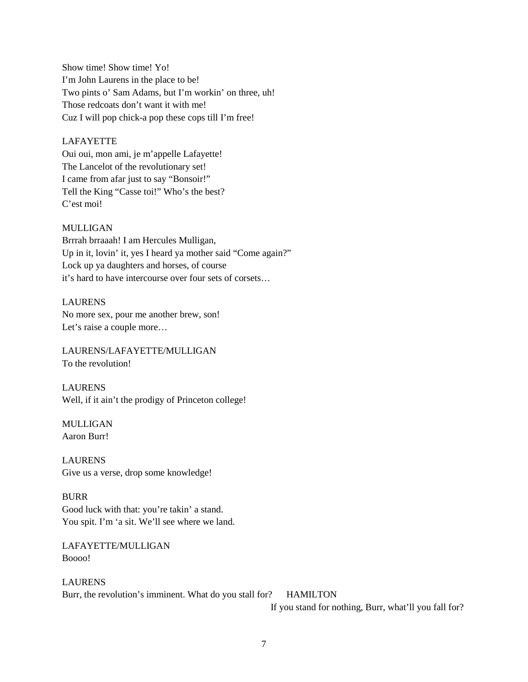Show time! Show time! Yo! I'm John Laurens in the place to be! Two pints o' Sam Adams, but I'm workin' on three, uh! Those redcoats don't want it with me! Cuz I will pop chick-a pop these cops till I'm free!

### LAFAYETTE

Oui oui, mon ami, je m'appelle Lafayette! The Lancelot of the revolutionary set! I came from afar just to say "Bonsoir!" Tell the King "Casse toi!" Who's the best? C'est moi!

### MULLIGAN

Brrrah brraaah! I am Hercules Mulligan, Up in it, lovin' it, yes I heard ya mother said "Come again?" Lock up ya daughters and horses, of course it's hard to have intercourse over four sets of corsets…

### LAURENS

No more sex, pour me another brew, son! Let's raise a couple more…

# LAURENS/LAFAYETTE/MULLIGAN To the revolution!

LAURENS Well, if it ain't the prodigy of Princeton college!

MULLIGAN Aaron Burr!

LAURENS Give us a verse, drop some knowledge!

### BURR

Good luck with that: you're takin' a stand. You spit. I'm 'a sit. We'll see where we land.

LAFAYETTE/MULLIGAN Boooo!

# LAURENS Burr, the revolution's imminent. What do you stall for? HAMILTON

If you stand for nothing, Burr, what'll you fall for?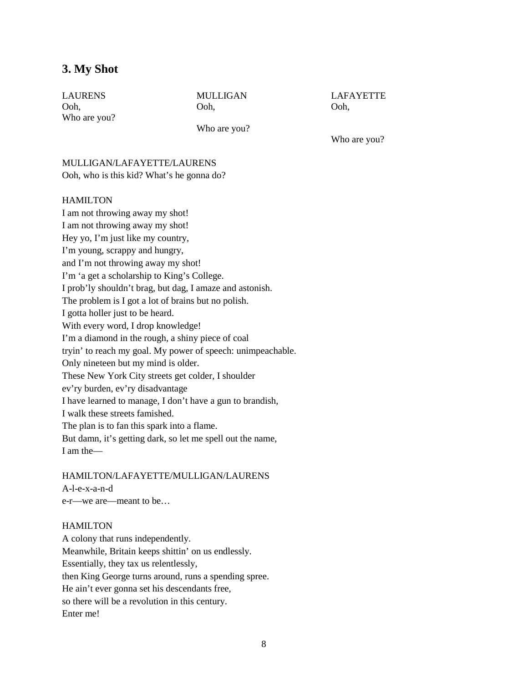# **3. My Shot**

LAURENS Ooh, Who are you? MULLIGAN Ooh,

LAFAYETTE Ooh,

Who are you?

Who are you?

MULLIGAN/LAFAYETTE/LAURENS Ooh, who is this kid? What's he gonna do?

#### **HAMILTON**

I am not throwing away my shot! I am not throwing away my shot! Hey yo, I'm just like my country, I'm young, scrappy and hungry, and I'm not throwing away my shot! I'm 'a get a scholarship to King's College. I prob'ly shouldn't brag, but dag, I amaze and astonish. The problem is I got a lot of brains but no polish. I gotta holler just to be heard. With every word, I drop knowledge! I'm a diamond in the rough, a shiny piece of coal tryin' to reach my goal. My power of speech: unimpeachable. Only nineteen but my mind is older. These New York City streets get colder, I shoulder ev'ry burden, ev'ry disadvantage I have learned to manage, I don't have a gun to brandish, I walk these streets famished. The plan is to fan this spark into a flame. But damn, it's getting dark, so let me spell out the name, I am the—

#### HAMILTON/LAFAYETTE/MULLIGAN/LAURENS

A-l-e-x-a-n-d e-r—we are—meant to be…

### **HAMILTON**

A colony that runs independently. Meanwhile, Britain keeps shittin' on us endlessly. Essentially, they tax us relentlessly, then King George turns around, runs a spending spree. He ain't ever gonna set his descendants free, so there will be a revolution in this century. Enter me!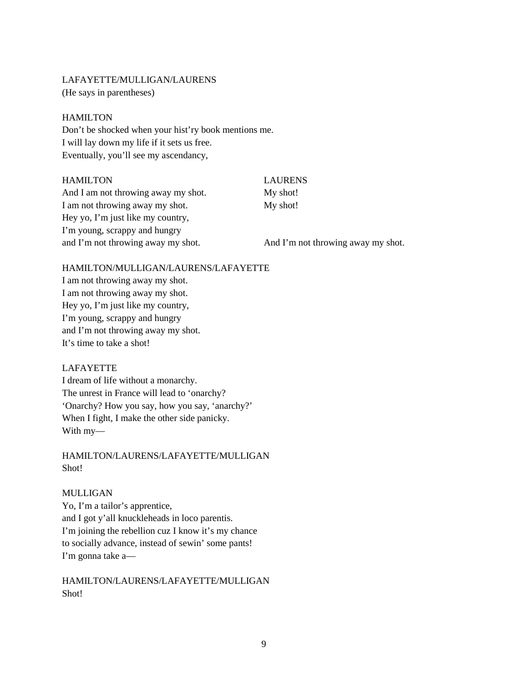# LAFAYETTE/MULLIGAN/LAURENS

(He says in parentheses)

### **HAMILTON**

Don't be shocked when your hist'ry book mentions me. I will lay down my life if it sets us free. Eventually, you'll see my ascendancy,

# **HAMILTON**

### LAURENS My shot!

My shot!

And I am not throwing away my shot. I am not throwing away my shot. Hey yo, I'm just like my country, I'm young, scrappy and hungry and I'm not throwing away my shot.

And I'm not throwing away my shot.

### HAMILTON/MULLIGAN/LAURENS/LAFAYETTE

I am not throwing away my shot. I am not throwing away my shot. Hey yo, I'm just like my country, I'm young, scrappy and hungry and I'm not throwing away my shot. It's time to take a shot!

# LAFAYETTE

I dream of life without a monarchy. The unrest in France will lead to 'onarchy? 'Onarchy? How you say, how you say, 'anarchy?' When I fight, I make the other side panicky. With my—

HAMILTON/LAURENS/LAFAYETTE/MULLIGAN Shot!

### MULLIGAN

Yo, I'm a tailor's apprentice, and I got y'all knuckleheads in loco parentis. I'm joining the rebellion cuz I know it's my chance to socially advance, instead of sewin' some pants! I'm gonna take a—

HAMILTON/LAURENS/LAFAYETTE/MULLIGAN Shot!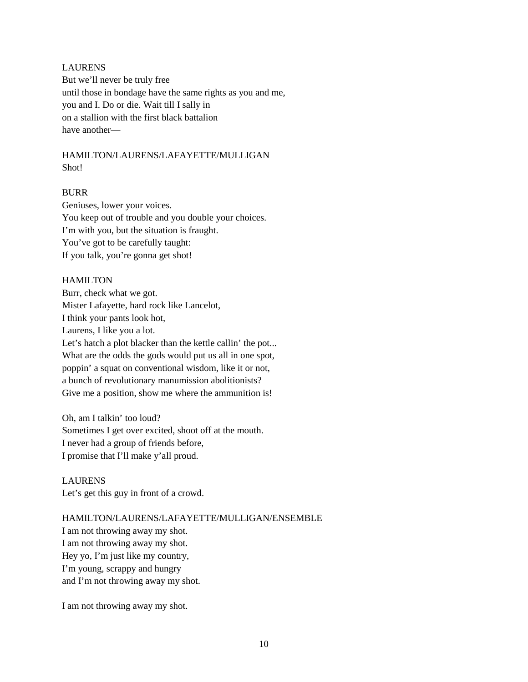### LAURENS

But we'll never be truly free until those in bondage have the same rights as you and me, you and I. Do or die. Wait till I sally in on a stallion with the first black battalion have another—

# HAMILTON/LAURENS/LAFAYETTE/MULLIGAN Shot!

### BURR

Geniuses, lower your voices. You keep out of trouble and you double your choices. I'm with you, but the situation is fraught. You've got to be carefully taught: If you talk, you're gonna get shot!

### **HAMILTON**

Burr, check what we got. Mister Lafayette, hard rock like Lancelot, I think your pants look hot, Laurens, I like you a lot. Let's hatch a plot blacker than the kettle callin' the pot... What are the odds the gods would put us all in one spot, poppin' a squat on conventional wisdom, like it or not, a bunch of revolutionary manumission abolitionists? Give me a position, show me where the ammunition is!

Oh, am I talkin' too loud? Sometimes I get over excited, shoot off at the mouth. I never had a group of friends before, I promise that I'll make y'all proud.

### LAURENS

Let's get this guy in front of a crowd.

### HAMILTON/LAURENS/LAFAYETTE/MULLIGAN/ENSEMBLE

I am not throwing away my shot. I am not throwing away my shot. Hey yo, I'm just like my country, I'm young, scrappy and hungry and I'm not throwing away my shot.

I am not throwing away my shot.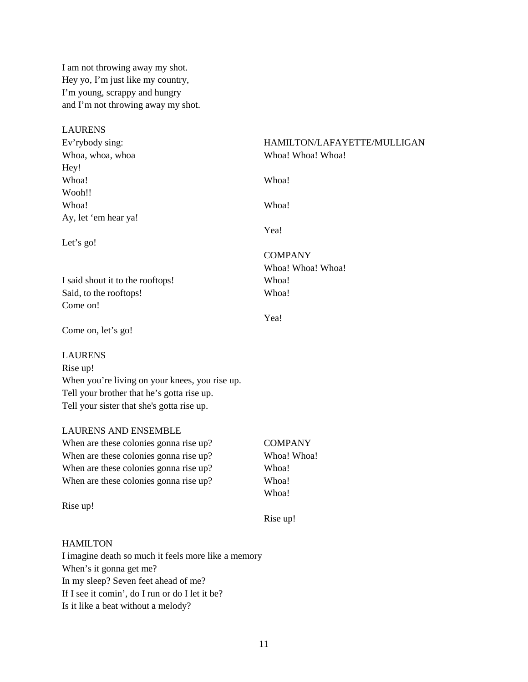I am not throwing away my shot. Hey yo, I'm just like my country, I'm young, scrappy and hungry and I'm not throwing away my shot.

# LAURENS

| Ev'rybody sing:                                     | HAMILTON/LAFAYETTE/MULLIGAN |
|-----------------------------------------------------|-----------------------------|
| Whoa, whoa, whoa                                    | Whoa! Whoa! Whoa!           |
| Hey!                                                |                             |
| Whoa!                                               | Whoa!                       |
| Wooh!!                                              |                             |
| Whoa!                                               | Whoa!                       |
| Ay, let 'em hear ya!                                |                             |
|                                                     | Yea!                        |
| Let's go!                                           |                             |
|                                                     | <b>COMPANY</b>              |
|                                                     | Whoa! Whoa! Whoa!           |
| I said shout it to the rooftops!                    | Whoa!                       |
| Said, to the rooftops!                              | Whoa!                       |
| Come on!                                            |                             |
|                                                     | Yea!                        |
| Come on, let's go!                                  |                             |
| <b>LAURENS</b>                                      |                             |
| Rise up!                                            |                             |
| When you're living on your knees, you rise up.      |                             |
| Tell your brother that he's gotta rise up.          |                             |
| Tell your sister that she's gotta rise up.          |                             |
|                                                     |                             |
| <b>LAURENS AND ENSEMBLE</b>                         |                             |
| When are these colonies gonna rise up?              | <b>COMPANY</b>              |
| When are these colonies gonna rise up?              | Whoa! Whoa!                 |
| When are these colonies gonna rise up?              | Whoa!                       |
| When are these colonies gonna rise up?              | Whoa!                       |
|                                                     | Whoa!                       |
| Rise up!                                            |                             |
|                                                     | Rise up!                    |
| <b>HAMILTON</b>                                     |                             |
| I imagine death so much it feels more like a memory |                             |
| When's it gonna get me?                             |                             |
| In my sleep? Seven feet ahead of me?                |                             |
| If I see it comin', do I run or do I let it be?     |                             |

Is it like a beat without a melody?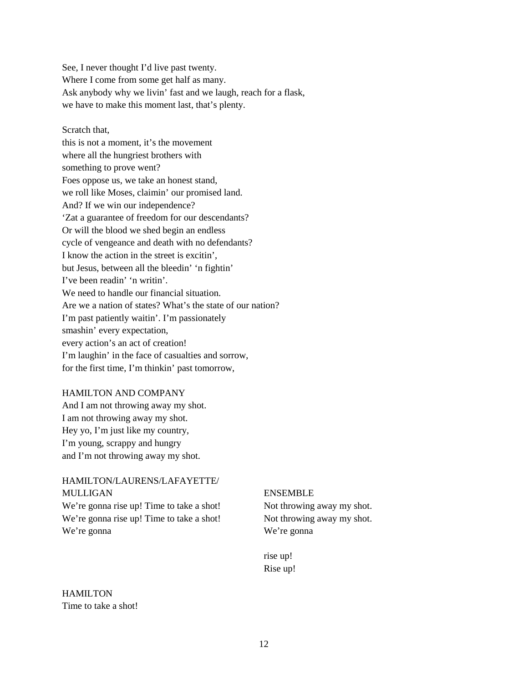See, I never thought I'd live past twenty. Where I come from some get half as many. Ask anybody why we livin' fast and we laugh, reach for a flask, we have to make this moment last, that's plenty.

# Scratch that, this is not a moment, it's the movement where all the hungriest brothers with something to prove went? Foes oppose us, we take an honest stand, we roll like Moses, claimin' our promised land. And? If we win our independence? 'Zat a guarantee of freedom for our descendants? Or will the blood we shed begin an endless cycle of vengeance and death with no defendants? I know the action in the street is excitin', but Jesus, between all the bleedin' 'n fightin' I've been readin' 'n writin'. We need to handle our financial situation. Are we a nation of states? What's the state of our nation? I'm past patiently waitin'. I'm passionately smashin' every expectation, every action's an act of creation! I'm laughin' in the face of casualties and sorrow, for the first time, I'm thinkin' past tomorrow,

# HAMILTON AND COMPANY

And I am not throwing away my shot. I am not throwing away my shot. Hey yo, I'm just like my country, I'm young, scrappy and hungry and I'm not throwing away my shot.

### HAMILTON/LAURENS/LAFAYETTE/ MULLIGAN

We're gonna rise up! Time to take a shot! We're gonna rise up! Time to take a shot! We're gonna

### ENSEMBLE

Not throwing away my shot. Not throwing away my shot. We're gonna

rise up! Rise up!

**HAMILTON** Time to take a shot!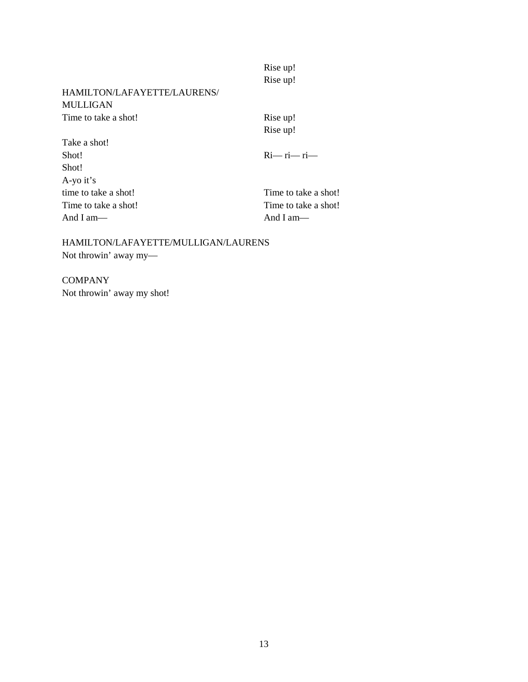|                             | Rise up!             |
|-----------------------------|----------------------|
|                             | Rise up!             |
| HAMILTON/LAFAYETTE/LAURENS/ |                      |
| <b>MULLIGAN</b>             |                      |
| Time to take a shot!        | Rise up!             |
|                             | Rise up!             |
| Take a shot!                |                      |
| Shot!                       | $Ri$ - $ri$ - $ri$   |
| Shot!                       |                      |
| A-yo it's                   |                      |
| time to take a shot!        | Time to take a shot! |
| Time to take a shot!        | Time to take a shot! |
| And I am—                   | And I am—            |
|                             |                      |

HAMILTON/LAFAYETTE/MULLIGAN/LAURENS Not throwin' away my—

**COMPANY** Not throwin' away my shot!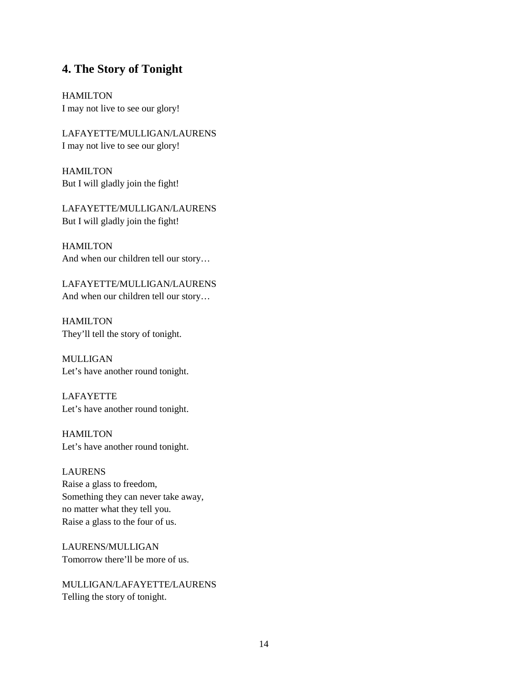# **4. The Story of Tonight**

**HAMILTON** I may not live to see our glory!

LAFAYETTE/MULLIGAN/LAURENS I may not live to see our glory!

**HAMILTON** But I will gladly join the fight!

LAFAYETTE/MULLIGAN/LAURENS But I will gladly join the fight!

**HAMILTON** And when our children tell our story…

LAFAYETTE/MULLIGAN/LAURENS And when our children tell our story…

**HAMILTON** They'll tell the story of tonight.

MULLIGAN Let's have another round tonight.

LAFAYETTE Let's have another round tonight.

**HAMILTON** Let's have another round tonight.

### LAURENS

Raise a glass to freedom, Something they can never take away, no matter what they tell you. Raise a glass to the four of us.

LAURENS/MULLIGAN Tomorrow there'll be more of us.

MULLIGAN/LAFAYETTE/LAURENS Telling the story of tonight.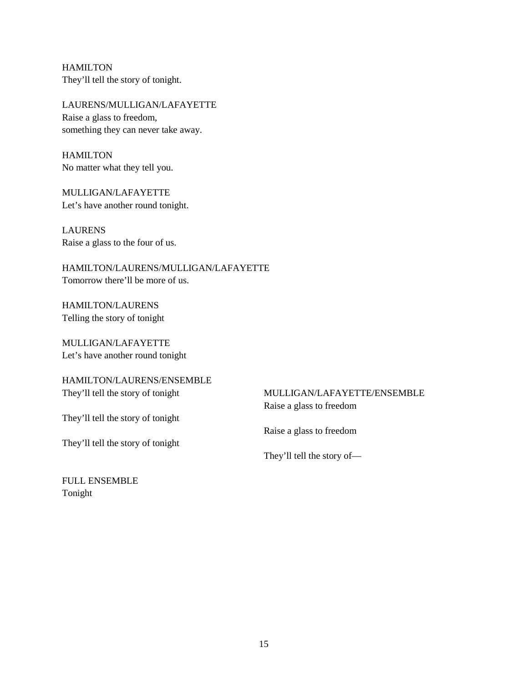**HAMILTON** They'll tell the story of tonight.

LAURENS/MULLIGAN/LAFAYETTE Raise a glass to freedom, something they can never take away.

**HAMILTON** No matter what they tell you.

MULLIGAN/LAFAYETTE Let's have another round tonight.

LAURENS Raise a glass to the four of us.

HAMILTON/LAURENS/MULLIGAN/LAFAYETTE Tomorrow there'll be more of us.

HAMILTON/LAURENS Telling the story of tonight

MULLIGAN/LAFAYETTE Let's have another round tonight

HAMILTON/LAURENS/ENSEMBLE They'll tell the story of tonight

They'll tell the story of tonight

They'll tell the story of tonight

FULL ENSEMBLE Tonight

# MULLIGAN/LAFAYETTE/ENSEMBLE Raise a glass to freedom

Raise a glass to freedom

They'll tell the story of—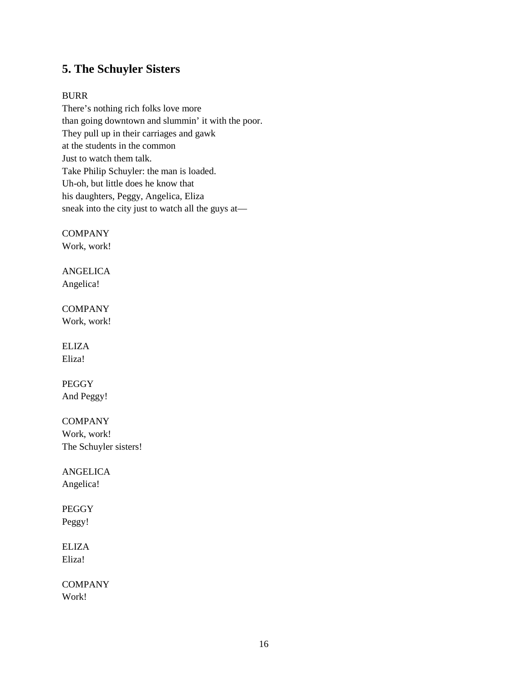# **5. The Schuyler Sisters**

### BURR

There's nothing rich folks love more than going downtown and slummin' it with the poor. They pull up in their carriages and gawk at the students in the common Just to watch them talk. Take Philip Schuyler: the man is loaded. Uh-oh, but little does he know that his daughters, Peggy, Angelica, Eliza sneak into the city just to watch all the guys at—

**COMPANY** 

Work, work!

ANGELICA Angelica!

**COMPANY** Work, work!

ELIZA Eliza!

**PEGGY** And Peggy!

# **COMPANY**

Work, work! The Schuyler sisters!

ANGELICA Angelica!

**PEGGY** 

Peggy!

ELIZA Eliza!

**COMPANY** Work!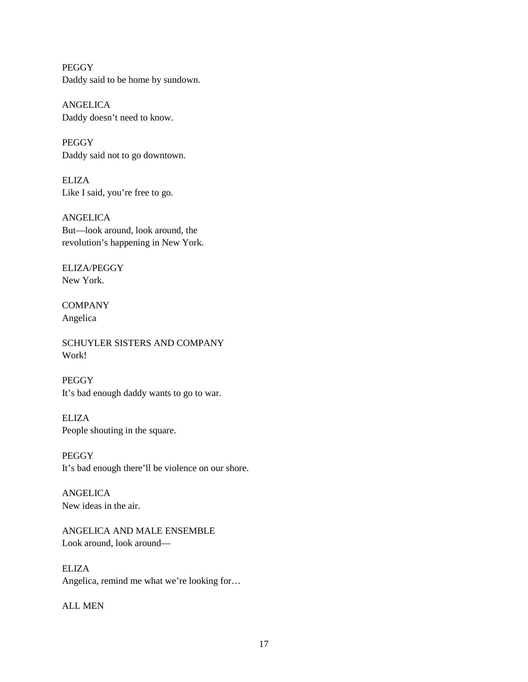**PEGGY** Daddy said to be home by sundown.

ANGELICA Daddy doesn't need to know.

PEGGY Daddy said not to go downtown.

ELIZA Like I said, you're free to go.

ANGELICA But—look around, look around, the revolution's happening in New York.

ELIZA/PEGGY New York.

COMPANY Angelica

SCHUYLER SISTERS AND COMPANY Work!

**PEGGY** It's bad enough daddy wants to go to war.

ELIZA People shouting in the square.

**PEGGY** It's bad enough there'll be violence on our shore.

ANGELICA New ideas in the air.

ANGELICA AND MALE ENSEMBLE Look around—

ELIZA Angelica, remind me what we're looking for…

ALL MEN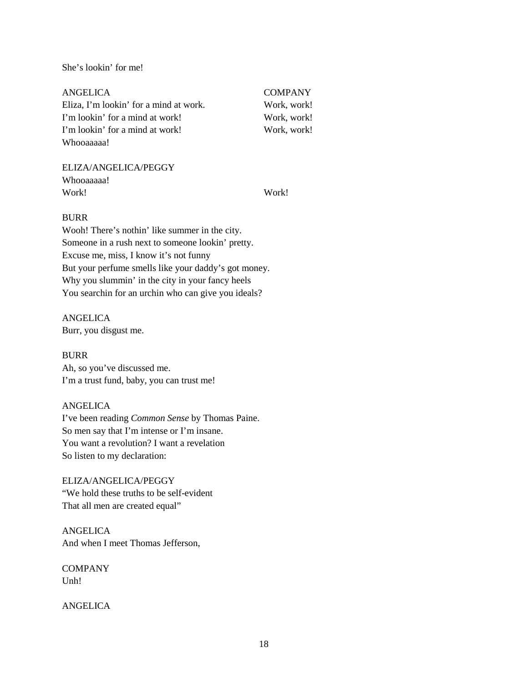### She's lookin' for me!

| ANGELICA                               | <b>COMPANY</b> |
|----------------------------------------|----------------|
| Eliza, I'm lookin' for a mind at work. | Work, work!    |
| I'm lookin' for a mind at work!        | Work, work!    |
| I'm lookin' for a mind at work!        | Work, work!    |
| Whooaaaaa!                             |                |

### ELIZA/ANGELICA/PEGGY

Whooaaaaa! Work!

Work!

### BURR

Wooh! There's nothin' like summer in the city. Someone in a rush next to someone lookin' pretty. Excuse me, miss, I know it's not funny But your perfume smells like your daddy's got money. Why you slummin' in the city in your fancy heels You searchin for an urchin who can give you ideals?

ANGELICA Burr, you disgust me.

BURR Ah, so you've discussed me. I'm a trust fund, baby, you can trust me!

#### ANGELICA

I've been reading *Common Sense* by Thomas Paine. So men say that I'm intense or I'm insane. You want a revolution? I want a revelation So listen to my declaration:

ELIZA/ANGELICA/PEGGY "We hold these truths to be self-evident That all men are created equal"

ANGELICA And when I meet Thomas Jefferson,

**COMPANY** Unh!

ANGELICA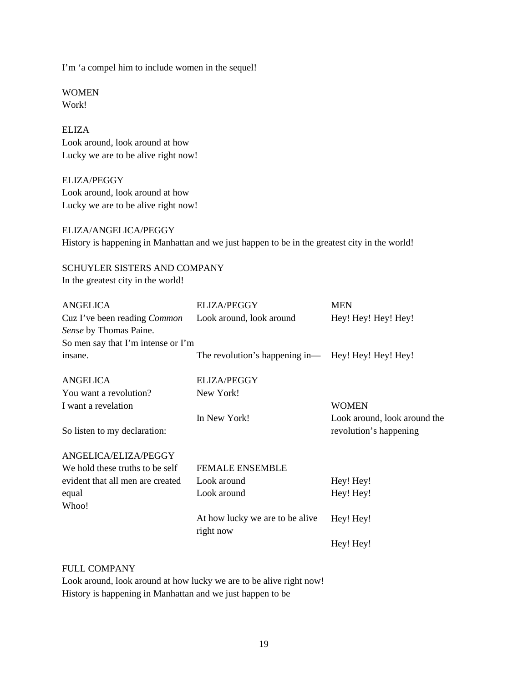I'm 'a compel him to include women in the sequel!

WOMEN Work!

ELIZA Look around, look around at how Lucky we are to be alive right now!

ELIZA/PEGGY Look around, look around at how Lucky we are to be alive right now!

ELIZA/ANGELICA/PEGGY History is happening in Manhattan and we just happen to be in the greatest city in the world!

# SCHUYLER SISTERS AND COMPANY

In the greatest city in the world!

| <b>ANGELICA</b>                     | <b>ELIZA/PEGGY</b>                                 | <b>MEN</b>                   |
|-------------------------------------|----------------------------------------------------|------------------------------|
| Cuz I've been reading <i>Common</i> | Look around, look around                           | Hey! Hey! Hey! Hey!          |
| Sense by Thomas Paine.              |                                                    |                              |
| So men say that I'm intense or I'm  |                                                    |                              |
| insane.                             | The revolution's happening in— Hey! Hey! Hey! Hey! |                              |
| <b>ANGELICA</b>                     | <b>ELIZA/PEGGY</b>                                 |                              |
| You want a revolution?              | New York!                                          |                              |
| I want a revelation                 |                                                    | <b>WOMEN</b>                 |
|                                     | In New York!                                       | Look around, look around the |
| So listen to my declaration:        |                                                    | revolution's happening       |
| ANGELICA/ELIZA/PEGGY                |                                                    |                              |
| We hold these truths to be self     | <b>FEMALE ENSEMBLE</b>                             |                              |
| evident that all men are created    | Look around                                        | Hey! Hey!                    |
| equal                               | Look around                                        | Hey! Hey!                    |
| Whoo!                               |                                                    |                              |
|                                     | At how lucky we are to be alive<br>right now       | Hey! Hey!                    |
|                                     |                                                    | Hey! Hey!                    |

# FULL COMPANY

Look around, look around at how lucky we are to be alive right now! History is happening in Manhattan and we just happen to be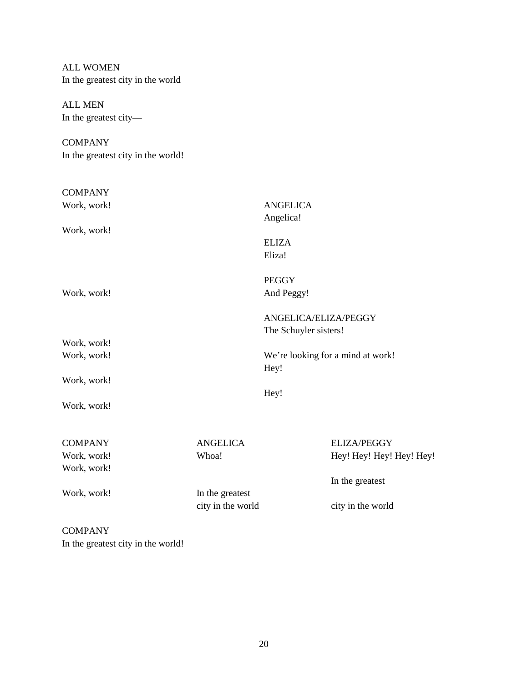ALL WOMEN In the greatest city in the world

ALL MEN In the greatest city—

**COMPANY** In the greatest city in the world!

| <b>COMPANY</b> |                   |                                   |
|----------------|-------------------|-----------------------------------|
| Work, work!    |                   | <b>ANGELICA</b>                   |
|                |                   | Angelica!                         |
| Work, work!    |                   |                                   |
|                |                   | <b>ELIZA</b><br>Eliza!            |
|                |                   |                                   |
|                |                   | <b>PEGGY</b>                      |
| Work, work!    |                   | And Peggy!                        |
|                |                   |                                   |
|                |                   | ANGELICA/ELIZA/PEGGY              |
|                |                   | The Schuyler sisters!             |
| Work, work!    |                   |                                   |
| Work, work!    |                   | We're looking for a mind at work! |
|                |                   | Hey!                              |
| Work, work!    |                   | Hey!                              |
| Work, work!    |                   |                                   |
|                |                   |                                   |
|                |                   |                                   |
| <b>COMPANY</b> | <b>ANGELICA</b>   | <b>ELIZA/PEGGY</b>                |
| Work, work!    | Whoa!             | Hey! Hey! Hey! Hey! Hey!          |
| Work, work!    |                   |                                   |
|                |                   | In the greatest                   |
| Work, work!    | In the greatest   |                                   |
|                | city in the world | city in the world                 |

**COMPANY** In the greatest city in the world!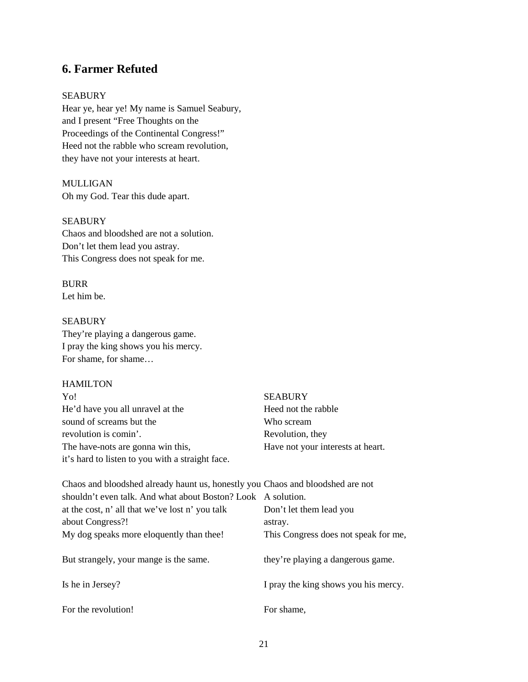# **6. Farmer Refuted**

### **SEABURY**

Hear ye, hear ye! My name is Samuel Seabury, and I present "Free Thoughts on the Proceedings of the Continental Congress!" Heed not the rabble who scream revolution, they have not your interests at heart.

MULLIGAN Oh my God. Tear this dude apart.

### SEABURY

Chaos and bloodshed are not a solution. Don't let them lead you astray. This Congress does not speak for me.

BURR Let him be.

#### **SEABURY**

They're playing a dangerous game. I pray the king shows you his mercy. For shame, for shame…

### **HAMILTON**

| Yo!                                              | <b>SEABURY</b>                    |
|--------------------------------------------------|-----------------------------------|
| He'd have you all unravel at the                 | Heed not the rabble               |
| sound of screams but the                         | Who scream                        |
| revolution is comin'.                            | Revolution, they                  |
| The have-nots are gonna win this,                | Have not your interests at heart. |
| it's hard to listen to you with a straight face. |                                   |

| Chaos and bloodshed already haunt us, honestly you Chaos and bloodshed are not |                                      |
|--------------------------------------------------------------------------------|--------------------------------------|
| shouldn't even talk. And what about Boston? Look A solution.                   |                                      |
| at the cost, n' all that we've lost n' you talk                                | Don't let them lead you              |
| about Congress?!                                                               | astray.                              |
| My dog speaks more eloquently than thee!                                       | This Congress does not speak for me, |
|                                                                                |                                      |
| But strangely, your mange is the same.                                         | they're playing a dangerous game.    |
|                                                                                |                                      |
| Is he in Jersey?                                                               | I pray the king shows you his mercy. |
|                                                                                |                                      |
| For the revolution!                                                            | For shame.                           |
|                                                                                |                                      |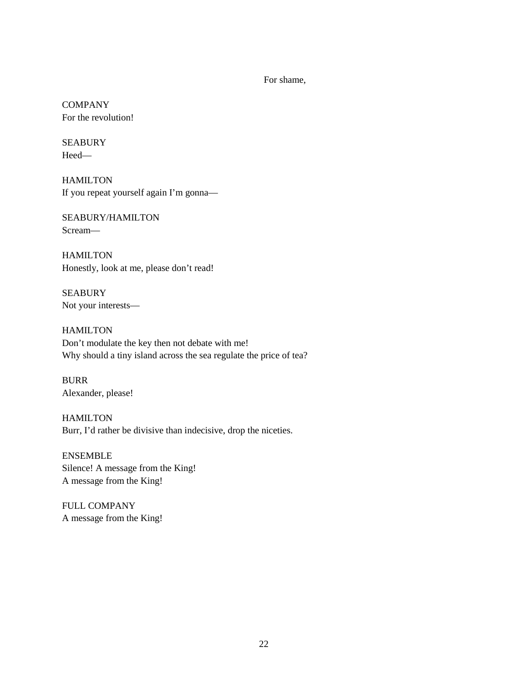For shame,

**COMPANY** For the revolution!

**SEABURY** Heed—

**HAMILTON** If you repeat yourself again I'm gonna—

SEABURY/HAMILTON Scream—

**HAMILTON** Honestly, look at me, please don't read!

**SEABURY** Not your interests—

HAMILTON Don't modulate the key then not debate with me! Why should a tiny island across the sea regulate the price of tea?

BURR Alexander, please!

**HAMILTON** Burr, I'd rather be divisive than indecisive, drop the niceties.

ENSEMBLE Silence! A message from the King! A message from the King!

FULL COMPANY A message from the King!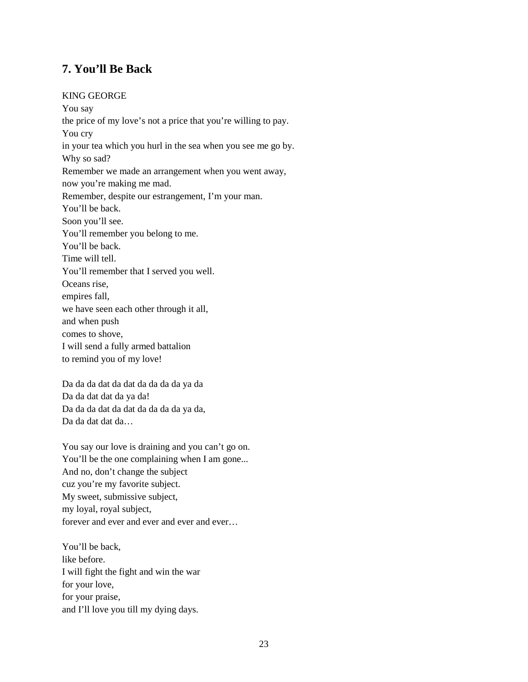# **7. You'll Be Back**

### KING GEORGE

You say the price of my love's not a price that you're willing to pay. You cry in your tea which you hurl in the sea when you see me go by. Why so sad? Remember we made an arrangement when you went away, now you're making me mad. Remember, despite our estrangement, I'm your man. You'll be back. Soon you'll see. You'll remember you belong to me. You'll be back. Time will tell. You'll remember that I served you well. Oceans rise, empires fall, we have seen each other through it all, and when push comes to shove, I will send a fully armed battalion to remind you of my love!

Da da da dat da dat da da da da ya da Da da dat dat da ya da! Da da da dat da dat da da da da ya da, Da da dat dat da...

You say our love is draining and you can't go on. You'll be the one complaining when I am gone... And no, don't change the subject cuz you're my favorite subject. My sweet, submissive subject, my loyal, royal subject, forever and ever and ever and ever and ever...

You'll be back, like before. I will fight the fight and win the war for your love, for your praise, and I'll love you till my dying days.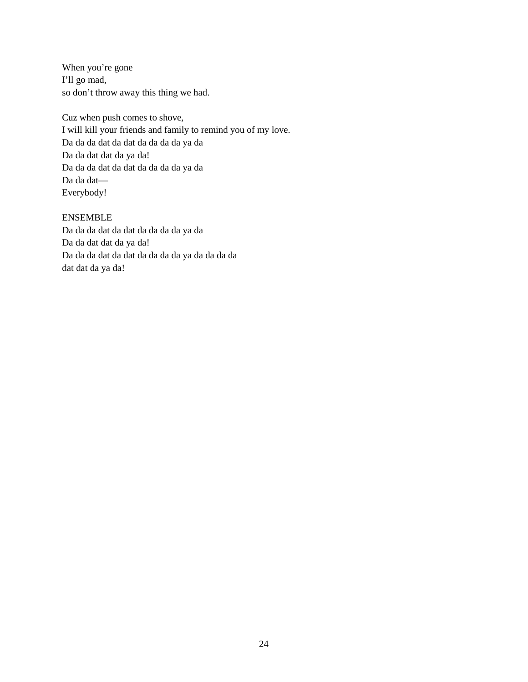When you're gone I'll go mad, so don't throw away this thing we had.

Cuz when push comes to shove, I will kill your friends and family to remind you of my love. Da da da dat da dat da da da da ya da Da da dat dat da ya da! Da da da dat da dat da da da da ya da Da da dat— Everybody!

ENSEMBLE Da da da dat da dat da da da da ya da Da da dat dat da ya da! Da da da dat da dat da da da da ya da da da da dat dat da ya da!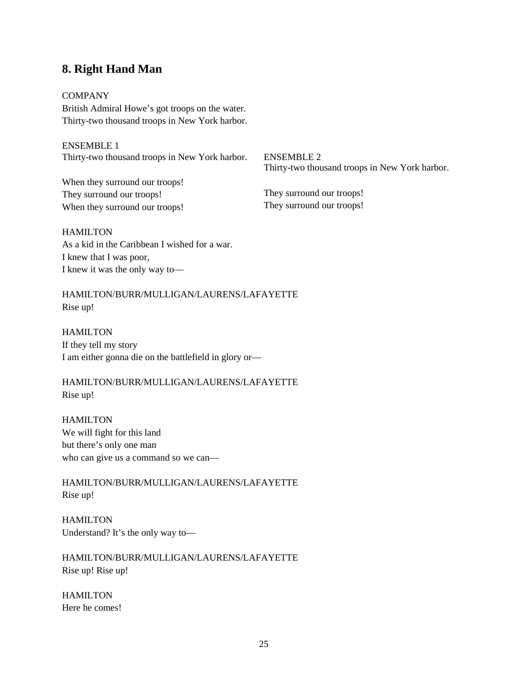# **8. Right Hand Man**

**COMPANY** British Admiral Howe's got troops on the water. Thirty-two thousand troops in New York harbor.

ENSEMBLE 1 Thirty-two thousand troops in New York harbor.

When they surround our troops! They surround our troops! When they surround our troops! ENSEMBLE 2 Thirty-two thousand troops in New York harbor.

They surround our troops! They surround our troops!

**HAMILTON** As a kid in the Caribbean I wished for a war. I knew that I was poor, I knew it was the only way to—

HAMILTON/BURR/MULLIGAN/LAURENS/LAFAYETTE Rise up!

**HAMILTON** If they tell my story I am either gonna die on the battlefield in glory or—

HAMILTON/BURR/MULLIGAN/LAURENS/LAFAYETTE Rise up!

**HAMILTON** We will fight for this land but there's only one man who can give us a command so we can—

HAMILTON/BURR/MULLIGAN/LAURENS/LAFAYETTE Rise up!

HAMILTON Understand? It's the only way to—

HAMILTON/BURR/MULLIGAN/LAURENS/LAFAYETTE Rise up! Rise up!

**HAMILTON** Here he comes!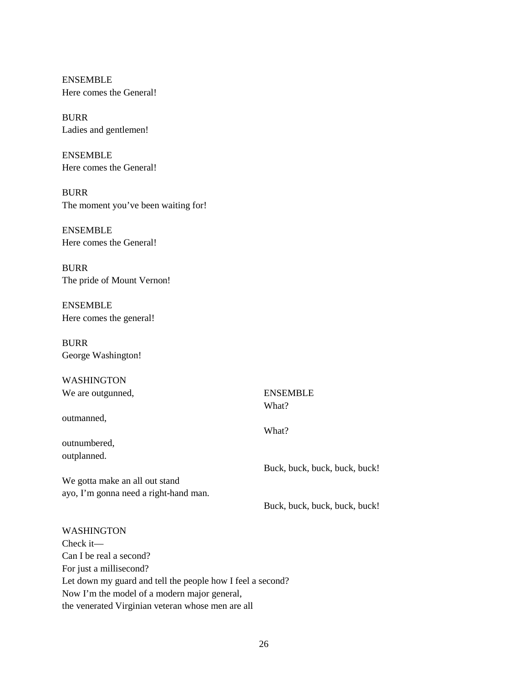ENSEMBLE Here comes the General!

BURR Ladies and gentlemen!

ENSEMBLE Here comes the General!

BURR The moment you've been waiting for!

ENSEMBLE Here comes the General!

BURR The pride of Mount Vernon!

ENSEMBLE Here comes the general!

BURR George Washington!

WASHINGTON We are outgunned,

outmanned,

outnumbered, outplanned.

We gotta make an all out stand ayo, I'm gonna need a right-hand man. ENSEMBLE What?

What?

Buck, buck, buck, buck, buck!

Buck, buck, buck, buck, buck!

WASHINGTON Check it— Can I be real a second? For just a millisecond? Let down my guard and tell the people how I feel a second? Now I'm the model of a modern major general, the venerated Virginian veteran whose men are all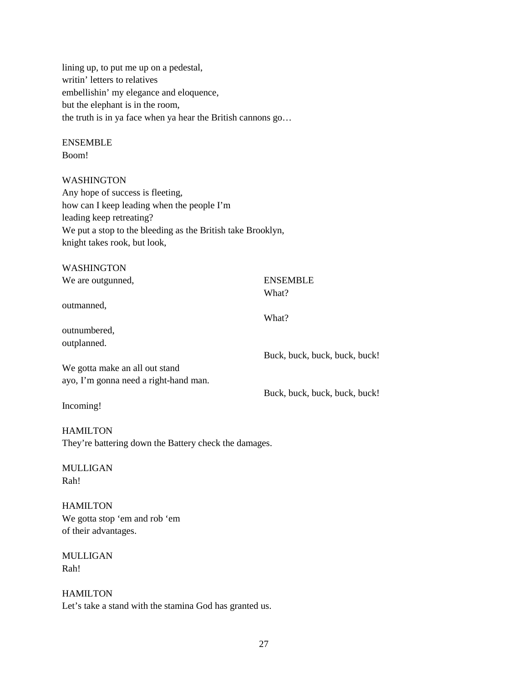lining up, to put me up on a pedestal, writin' letters to relatives embellishin' my elegance and eloquence, but the elephant is in the room, the truth is in ya face when ya hear the British cannons go…

ENSEMBLE Boom!

### WASHINGTON

Any hope of success is fleeting, how can I keep leading when the people I'm leading keep retreating? We put a stop to the bleeding as the British take Brooklyn, knight takes rook, but look,

# WASHINGTON

| We are outgunned,                     | <b>ENSEMBLE</b>               |
|---------------------------------------|-------------------------------|
|                                       | What?                         |
| outmanned,                            |                               |
|                                       | What?                         |
| outnumbered,                          |                               |
| outplanned.                           |                               |
|                                       | Buck, buck, buck, buck, buck! |
| We gotta make an all out stand        |                               |
| ayo, I'm gonna need a right-hand man. |                               |
|                                       | Buck, buck, buck, buck, buck! |
| Incoming!                             |                               |

**HAMILTON** They're battering down the Battery check the damages.

MULLIGAN Rah!

**HAMILTON** We gotta stop 'em and rob 'em of their advantages.

MULLIGAN Rah!

# **HAMILTON**

Let's take a stand with the stamina God has granted us.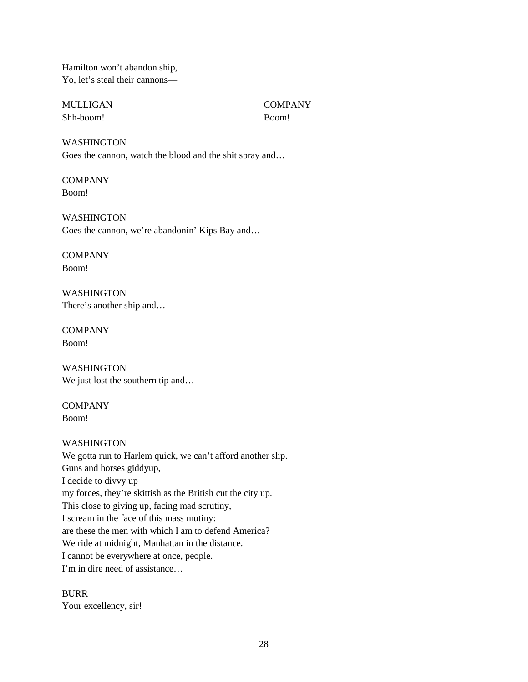Hamilton won't abandon ship, Yo, let's steal their cannons—

MULLIGAN Shh-boom!

COMPANY Boom!

WASHINGTON Goes the cannon, watch the blood and the shit spray and…

**COMPANY** Boom!

WASHINGTON Goes the cannon, we're abandonin' Kips Bay and…

**COMPANY** Boom!

WASHINGTON There's another ship and…

COMPANY Boom!

WASHINGTON We just lost the southern tip and...

**COMPANY** Boom!

### WASHINGTON

We gotta run to Harlem quick, we can't afford another slip. Guns and horses giddyup, I decide to divvy up my forces, they're skittish as the British cut the city up. This close to giving up, facing mad scrutiny, I scream in the face of this mass mutiny: are these the men with which I am to defend America? We ride at midnight, Manhattan in the distance. I cannot be everywhere at once, people. I'm in dire need of assistance…

BURR Your excellency, sir!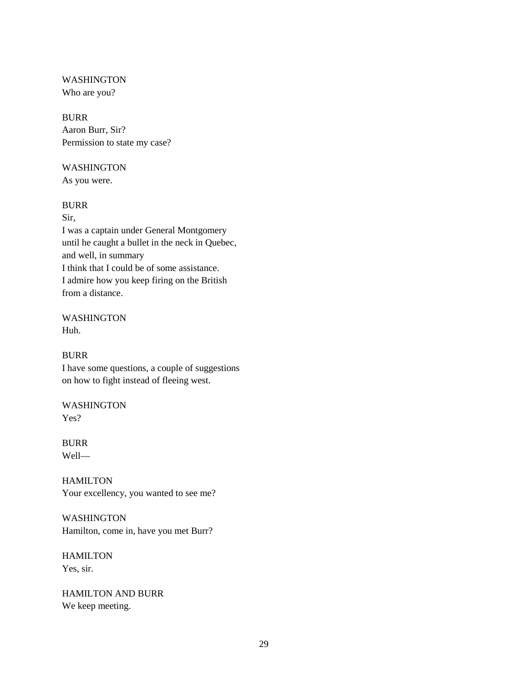# WASHINGTON

Who are you?

# BURR

Aaron Burr, Sir? Permission to state my case?

# WASHINGTON

As you were.

# BURR

Sir,

I was a captain under General Montgomery until he caught a bullet in the neck in Quebec, and well, in summary I think that I could be of some assistance. I admire how you keep firing on the British from a distance.

WASHINGTON Huh.

# BURR

I have some questions, a couple of suggestions on how to fight instead of fleeing west.

# WASHINGTON Yes?

BURR Well—

**HAMILTON** Your excellency, you wanted to see me?

WASHINGTON Hamilton, come in, have you met Burr?

**HAMILTON** Yes, sir.

HAMILTON AND BURR We keep meeting.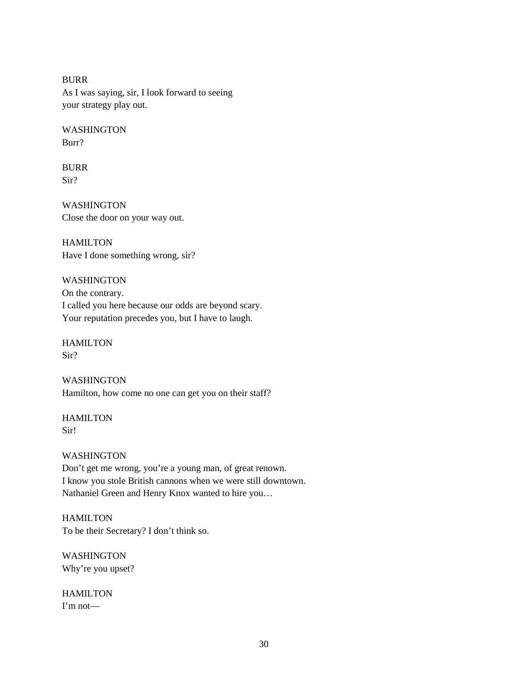BURR As I was saying, sir, I look forward to seeing your strategy play out.

WASHINGTON Burr?

BURR Sir?

WASHINGTON Close the door on your way out.

**HAMILTON** Have I done something wrong, sir?

WASHINGTON On the contrary. I called you here because our odds are beyond scary. Your reputation precedes you, but I have to laugh.

**HAMILTON** Sir?

**WASHINGTON** Hamilton, how come no one can get you on their staff?

**HAMILTON** Sir!

# WASHINGTON

Don't get me wrong, you're a young man, of great renown. I know you stole British cannons when we were still downtown. Nathaniel Green and Henry Knox wanted to hire you…

**HAMILTON** To be their Secretary? I don't think so.

WASHINGTON Why're you upset?

**HAMILTON** I'm not—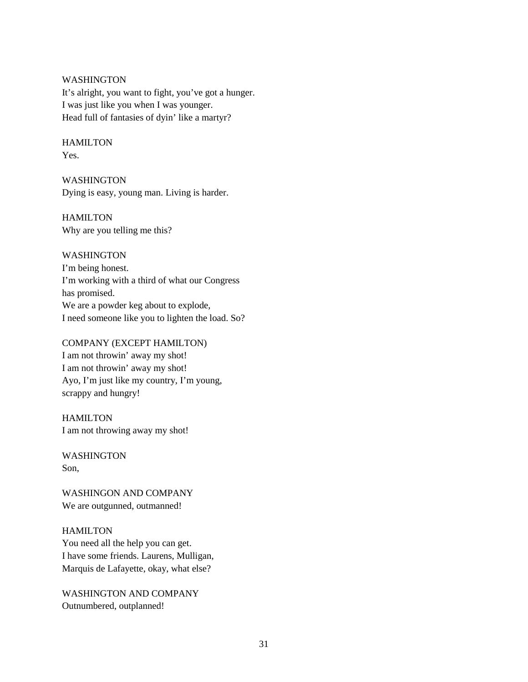#### WASHINGTON

It's alright, you want to fight, you've got a hunger. I was just like you when I was younger. Head full of fantasies of dyin' like a martyr?

#### **HAMILTON**

Yes.

WASHINGTON Dying is easy, young man. Living is harder.

**HAMILTON** Why are you telling me this?

### WASHINGTON

I'm being honest. I'm working with a third of what our Congress has promised. We are a powder keg about to explode, I need someone like you to lighten the load. So?

### COMPANY (EXCEPT HAMILTON)

I am not throwin' away my shot! I am not throwin' away my shot! Ayo, I'm just like my country, I'm young, scrappy and hungry!

# **HAMILTON** I am not throwing away my shot!

WASHINGTON Son,

WASHINGON AND COMPANY We are outgunned, outmanned!

# **HAMILTON**

You need all the help you can get. I have some friends. Laurens, Mulligan, Marquis de Lafayette, okay, what else?

WASHINGTON AND COMPANY Outnumbered, outplanned!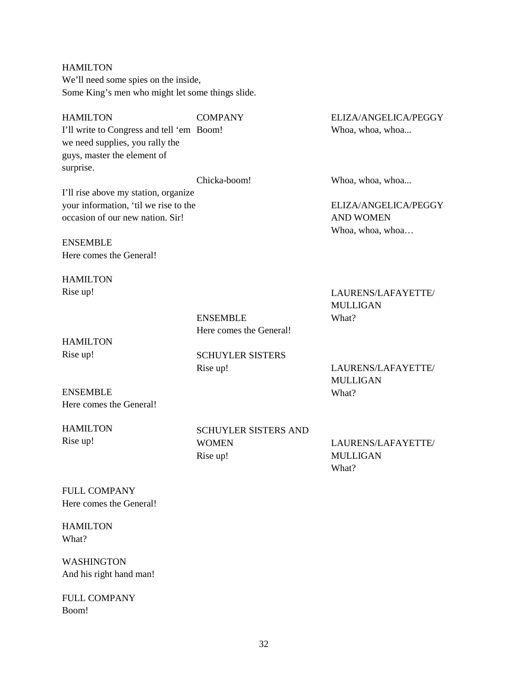**HAMILTON** We'll need some spies on the inside, Some King's men who might let some things slide.

**HAMILTON** I'll write to Congress and tell 'em Boom! we need supplies, you rally the guys, master the element of surprise. **COMPANY** 

Chicka-boom!

I'll rise above my station, organize your information, 'til we rise to the occasion of our new nation. Sir!

ENSEMBLE Here comes the General!

**HAMILTON** Rise up!

ELIZA/ANGELICA/PEGGY Whoa, whoa, whoa...

Whoa, whoa, whoa...

ELIZA/ANGELICA/PEGGY AND WOMEN Whoa, whoa, whoa…

LAURENS/LAFAYETTE/ MULLIGAN What?

ENSEMBLE Here comes the General!

**HAMILTON** Rise up!

SCHUYLER SISTERS Rise up!

LAURENS/LAFAYETTE/ MULLIGAN What?

ENSEMBLE Here comes the General!

**HAMILTON** Rise up!

SCHUYLER SISTERS AND WOMEN Rise up!

LAURENS/LAFAYETTE/ MULLIGAN What?

FULL COMPANY Here comes the General!

**HAMILTON** What?

WASHINGTON And his right hand man!

FULL COMPANY Boom!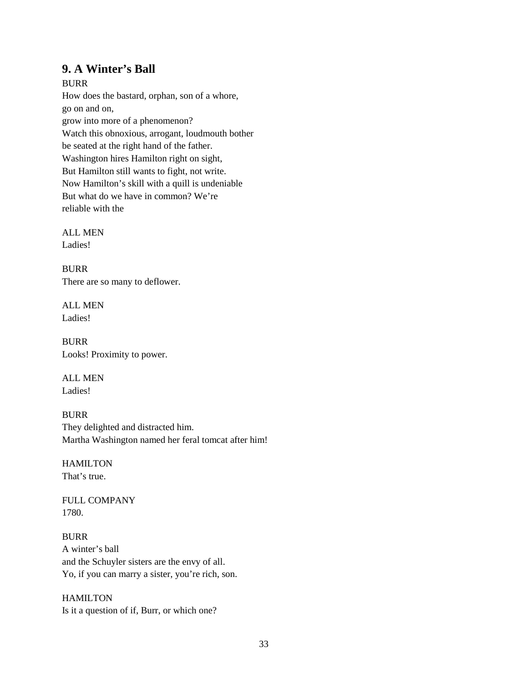# **9. A Winter's Ball**

### BURR

How does the bastard, orphan, son of a whore, go on and on, grow into more of a phenomenon? Watch this obnoxious, arrogant, loudmouth bother be seated at the right hand of the father. Washington hires Hamilton right on sight, But Hamilton still wants to fight, not write. Now Hamilton's skill with a quill is undeniable But what do we have in common? We're reliable with the

ALL MEN Ladies!

BURR There are so many to deflower.

ALL MEN Ladies!

BURR Looks! Proximity to power.

ALL MEN Ladies!

BURR They delighted and distracted him. Martha Washington named her feral tomcat after him!

**HAMILTON** That's true.

FULL COMPANY 1780.

BURR A winter's ball and the Schuyler sisters are the envy of all. Yo, if you can marry a sister, you're rich, son.

**HAMILTON** Is it a question of if, Burr, or which one?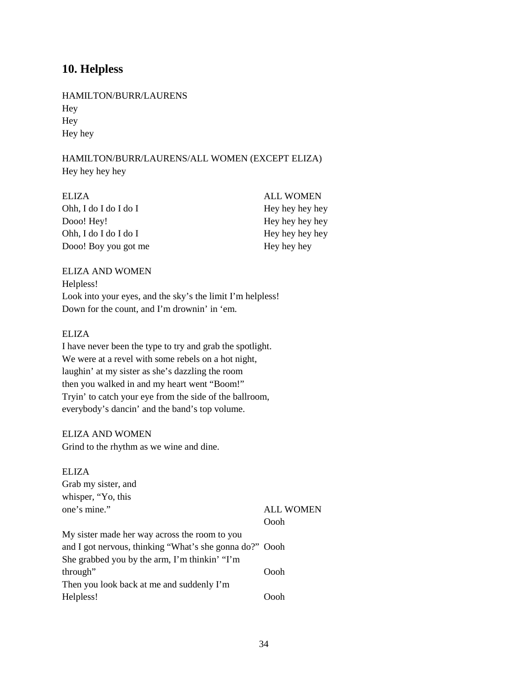# **10. Helpless**

# HAMILTON/BURR/LAURENS Hey Hey Hey hey

# HAMILTON/BURR/LAURENS/ALL WOMEN (EXCEPT ELIZA) Hey hey hey hey

| <b>ALL WOMEN</b> |
|------------------|
| Hey hey hey hey  |
| Hey hey hey hey  |
| Hey hey hey hey  |
| Hey hey hey      |
|                  |

### ELIZA AND WOMEN

Helpless! Look into your eyes, and the sky's the limit I'm helpless! Down for the count, and I'm drownin' in 'em.

### ELIZA

I have never been the type to try and grab the spotlight. We were at a revel with some rebels on a hot night, laughin' at my sister as she's dazzling the room then you walked in and my heart went "Boom!" Tryin' to catch your eye from the side of the ballroom, everybody's dancin' and the band's top volume.

### ELIZA AND WOMEN

Grind to the rhythm as we wine and dine.

### ELIZA Grab my sister, and

| whisper, "Yo, this                                      |                  |
|---------------------------------------------------------|------------------|
| one's mine."                                            | <b>ALL WOMEN</b> |
|                                                         | Oooh             |
| My sister made her way across the room to you           |                  |
| and I got nervous, thinking "What's she gonna do?" Oooh |                  |
| She grabbed you by the arm, I'm thinkin' "I'm           |                  |
| through"                                                | Oooh             |
| Then you look back at me and suddenly I'm               |                  |
| Helpless!                                               | $0$ ooh          |
|                                                         |                  |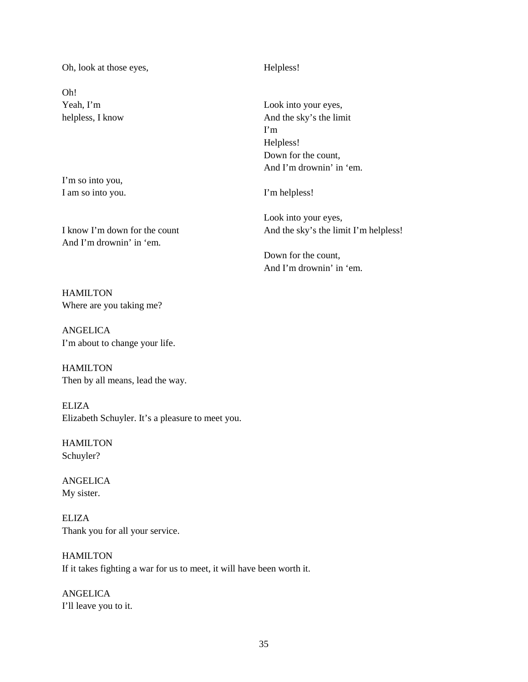Oh, look at those eyes,

Oh! Yeah, I'm helpless, I know

I'm so into you, I am so into you.

I know I'm down for the count And I'm drownin' in 'em.

Helpless!

Look into your eyes, And the sky's the limit  $I'm$ Helpless! Down for the count, And I'm drownin' in 'em.

I'm helpless!

Look into your eyes, And the sky's the limit I'm helpless!

Down for the count, And I'm drownin' in 'em.

**HAMILTON** Where are you taking me?

ANGELICA I'm about to change your life.

**HAMILTON** Then by all means, lead the way.

ELIZA Elizabeth Schuyler. It's a pleasure to meet you.

**HAMILTON** Schuyler?

ANGELICA My sister.

ELIZA Thank you for all your service.

HAMILTON If it takes fighting a war for us to meet, it will have been worth it.

ANGELICA I'll leave you to it.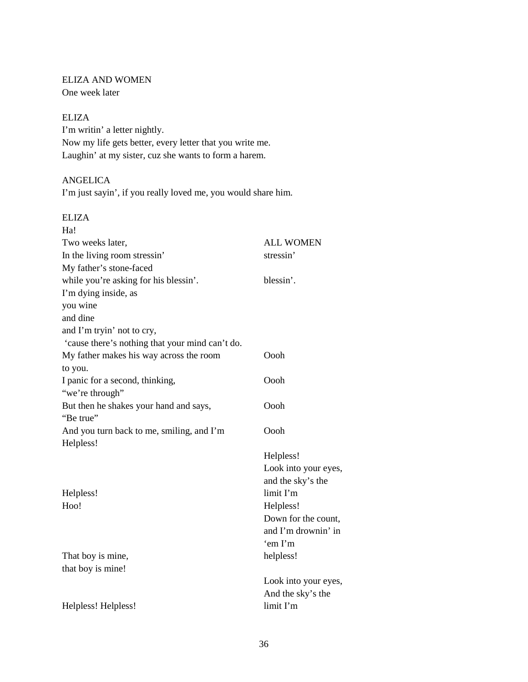# ELIZA AND WOMEN

One week later

# ELIZA

I'm writin' a letter nightly. Now my life gets better, every letter that you write me. Laughin' at my sister, cuz she wants to form a harem.

# ANGELICA

I'm just sayin', if you really loved me, you would share him.

| <b>ELIZA</b>                                    |                      |
|-------------------------------------------------|----------------------|
| Ha!                                             |                      |
| Two weeks later,                                | <b>ALL WOMEN</b>     |
| In the living room stressin'                    | stressin'            |
| My father's stone-faced                         |                      |
| while you're asking for his blessin'.           | blessin'.            |
| I'm dying inside, as                            |                      |
| you wine                                        |                      |
| and dine                                        |                      |
| and I'm tryin' not to cry,                      |                      |
| 'cause there's nothing that your mind can't do. |                      |
| My father makes his way across the room         | Oooh                 |
| to you.                                         |                      |
| I panic for a second, thinking,                 | Oooh                 |
| "we're through"                                 |                      |
| But then he shakes your hand and says,          | Oooh                 |
| "Be true"                                       |                      |
| And you turn back to me, smiling, and I'm       | Oooh                 |
| Helpless!                                       |                      |
|                                                 | Helpless!            |
|                                                 | Look into your eyes, |
|                                                 | and the sky's the    |
| Helpless!                                       | limit I'm            |
| Hoo!                                            | Helpless!            |
|                                                 | Down for the count,  |
|                                                 | and I'm drownin' in  |
|                                                 | 'em I'm              |
| That boy is mine,                               | helpless!            |
| that boy is mine!                               |                      |
|                                                 | Look into your eyes, |
|                                                 | And the sky's the    |
| Helpless! Helpless!                             | limit I'm            |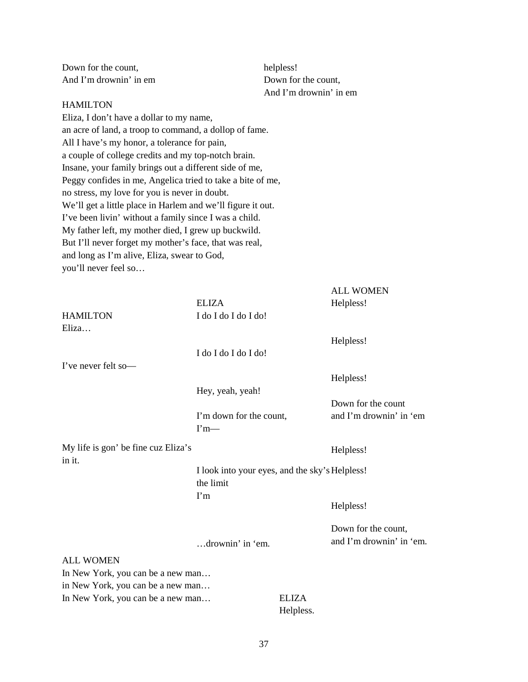| Down for the count,<br>And I'm drownin' in em               |                         | helpless!<br>Down for the count,               |                          |
|-------------------------------------------------------------|-------------------------|------------------------------------------------|--------------------------|
|                                                             |                         | And I'm drownin' in em                         |                          |
| <b>HAMILTON</b>                                             |                         |                                                |                          |
| Eliza, I don't have a dollar to my name,                    |                         |                                                |                          |
| an acre of land, a troop to command, a dollop of fame.      |                         |                                                |                          |
| All I have's my honor, a tolerance for pain,                |                         |                                                |                          |
| a couple of college credits and my top-notch brain.         |                         |                                                |                          |
| Insane, your family brings out a different side of me,      |                         |                                                |                          |
| Peggy confides in me, Angelica tried to take a bite of me,  |                         |                                                |                          |
| no stress, my love for you is never in doubt.               |                         |                                                |                          |
| We'll get a little place in Harlem and we'll figure it out. |                         |                                                |                          |
| I've been livin' without a family since I was a child.      |                         |                                                |                          |
| My father left, my mother died, I grew up buckwild.         |                         |                                                |                          |
| But I'll never forget my mother's face, that was real,      |                         |                                                |                          |
| and long as I'm alive, Eliza, swear to God,                 |                         |                                                |                          |
| you'll never feel so                                        |                         |                                                |                          |
|                                                             |                         |                                                | <b>ALL WOMEN</b>         |
|                                                             | <b>ELIZA</b>            |                                                | Helpless!                |
| <b>HAMILTON</b>                                             | I do I do I do I do!    |                                                |                          |
| Eliza                                                       |                         |                                                |                          |
|                                                             |                         |                                                | Helpless!                |
|                                                             | I do I do I do I do!    |                                                |                          |
| I've never felt so-                                         |                         |                                                |                          |
|                                                             |                         |                                                | Helpless!                |
|                                                             | Hey, yeah, yeah!        |                                                |                          |
|                                                             |                         |                                                | Down for the count       |
|                                                             | I'm down for the count, |                                                | and I'm drownin' in 'em  |
|                                                             | $\Gamma$ m—             |                                                |                          |
|                                                             |                         |                                                |                          |
| My life is gon' be fine cuz Eliza's                         |                         |                                                | Helpless!                |
| in it.                                                      |                         | I look into your eyes, and the sky's Helpless! |                          |
|                                                             | the limit               |                                                |                          |
|                                                             | $\Gamma$ m              |                                                |                          |
|                                                             |                         |                                                | Helpless!                |
|                                                             |                         |                                                |                          |
|                                                             |                         |                                                | Down for the count,      |
|                                                             | drownin' in 'em.        |                                                | and I'm drownin' in 'em. |
| ALL WOMEN                                                   |                         |                                                |                          |
| In New York, you can be a new man                           |                         |                                                |                          |
| in New York, you can be a new man                           |                         |                                                |                          |
| In New York, you can be a new man                           |                         | <b>ELIZA</b>                                   |                          |
|                                                             |                         | Helpless.                                      |                          |
|                                                             |                         |                                                |                          |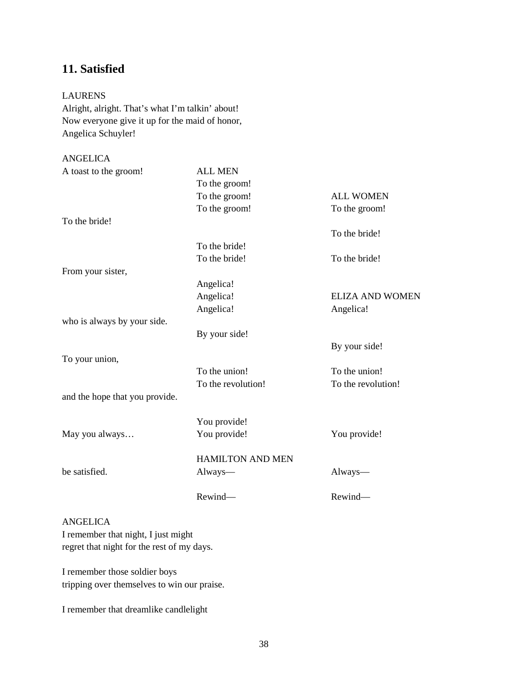# **11. Satisfied**

# LAURENS

Alright, alright. That's what I'm talkin' about! Now everyone give it up for the maid of honor, Angelica Schuyler!

| <b>ANGELICA</b>                     |                         |                        |
|-------------------------------------|-------------------------|------------------------|
| A toast to the groom!               | <b>ALL MEN</b>          |                        |
|                                     | To the groom!           |                        |
|                                     | To the groom!           | <b>ALL WOMEN</b>       |
|                                     | To the groom!           | To the groom!          |
| To the bride!                       |                         |                        |
|                                     |                         | To the bride!          |
|                                     | To the bride!           |                        |
|                                     | To the bride!           | To the bride!          |
| From your sister,                   |                         |                        |
|                                     | Angelica!               |                        |
|                                     | Angelica!               | <b>ELIZA AND WOMEN</b> |
|                                     | Angelica!               | Angelica!              |
| who is always by your side.         |                         |                        |
|                                     | By your side!           |                        |
|                                     |                         | By your side!          |
| To your union,                      |                         |                        |
|                                     | To the union!           | To the union!          |
|                                     | To the revolution!      | To the revolution!     |
| and the hope that you provide.      |                         |                        |
|                                     | You provide!            |                        |
| May you always                      | You provide!            | You provide!           |
|                                     | <b>HAMILTON AND MEN</b> |                        |
| be satisfied.                       | Always-                 | Always-                |
|                                     | Rewind-                 | Rewind-                |
| <b>ANGELICA</b>                     |                         |                        |
| I remember that night, I just might |                         |                        |

regret that night for the rest of my days.

I remember those soldier boys tripping over themselves to win our praise.

I remember that dreamlike candlelight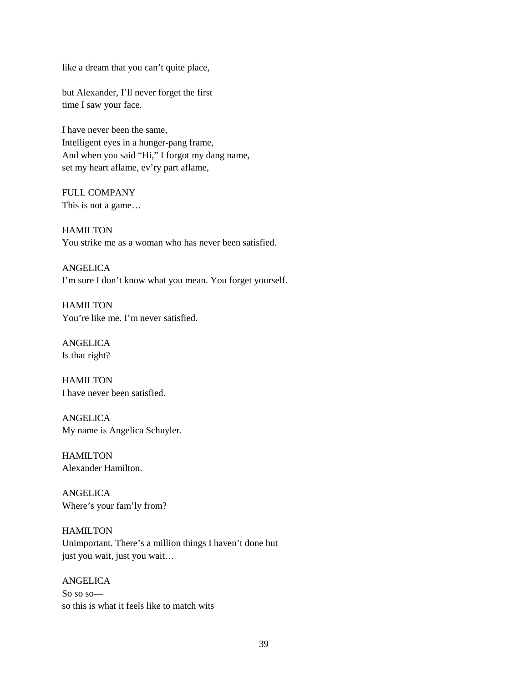like a dream that you can't quite place,

but Alexander, I'll never forget the first time I saw your face.

I have never been the same, Intelligent eyes in a hunger-pang frame, And when you said "Hi," I forgot my dang name, set my heart aflame, ev'ry part aflame,

FULL COMPANY This is not a game…

HAMILTON You strike me as a woman who has never been satisfied.

ANGELICA I'm sure I don't know what you mean. You forget yourself.

HAMILTON You're like me. I'm never satisfied.

ANGELICA Is that right?

**HAMILTON** I have never been satisfied.

ANGELICA My name is Angelica Schuyler.

**HAMILTON** Alexander Hamilton.

ANGELICA Where's your fam'ly from?

**HAMILTON** Unimportant. There's a million things I haven't done but just you wait, just you wait…

ANGELICA So so so so this is what it feels like to match wits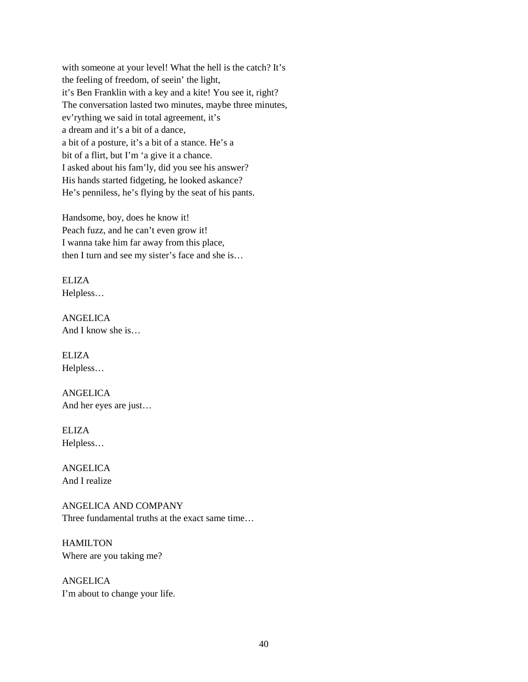with someone at your level! What the hell is the catch? It's the feeling of freedom, of seein' the light, it's Ben Franklin with a key and a kite! You see it, right? The conversation lasted two minutes, maybe three minutes, ev'rything we said in total agreement, it's a dream and it's a bit of a dance, a bit of a posture, it's a bit of a stance. He's a bit of a flirt, but I'm 'a give it a chance. I asked about his fam'ly, did you see his answer? His hands started fidgeting, he looked askance? He's penniless, he's flying by the seat of his pants.

Handsome, boy, does he know it! Peach fuzz, and he can't even grow it! I wanna take him far away from this place, then I turn and see my sister's face and she is…

ELIZA Helpless…

ANGELICA And I know she is…

ELIZA Helpless…

ANGELICA And her eyes are just…

ELIZA Helpless…

ANGELICA And I realize

ANGELICA AND COMPANY Three fundamental truths at the exact same time…

**HAMILTON** Where are you taking me?

ANGELICA I'm about to change your life.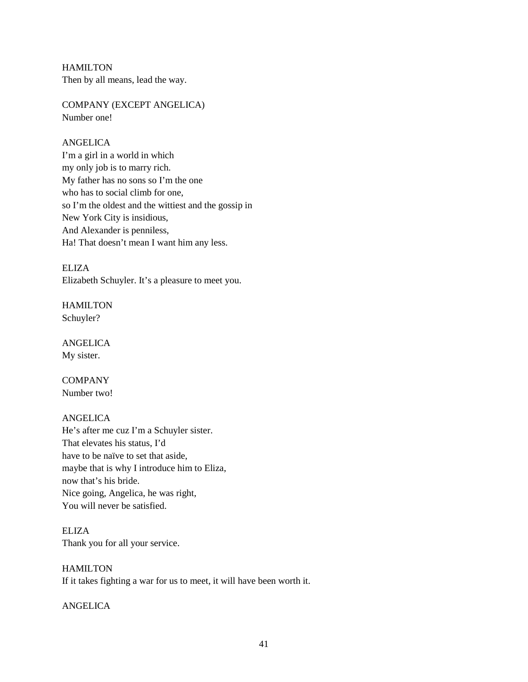**HAMILTON** Then by all means, lead the way.

COMPANY (EXCEPT ANGELICA) Number one!

## ANGELICA

I'm a girl in a world in which my only job is to marry rich. My father has no sons so I'm the one who has to social climb for one, so I'm the oldest and the wittiest and the gossip in New York City is insidious, And Alexander is penniless, Ha! That doesn't mean I want him any less.

ELIZA Elizabeth Schuyler. It's a pleasure to meet you.

HAMILTON Schuyler?

ANGELICA My sister.

**COMPANY** Number two!

# ANGELICA

He's after me cuz I'm a Schuyler sister. That elevates his status, I'd have to be naïve to set that aside, maybe that is why I introduce him to Eliza, now that's his bride. Nice going, Angelica, he was right, You will never be satisfied.

ELIZA Thank you for all your service.

**HAMILTON** If it takes fighting a war for us to meet, it will have been worth it.

## ANGELICA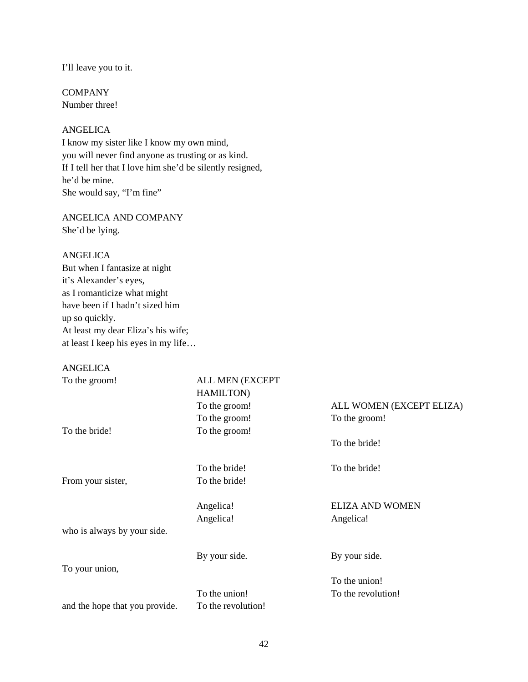I'll leave you to it.

**COMPANY** Number three!

### ANGELICA

I know my sister like I know my own mind, you will never find anyone as trusting or as kind. If I tell her that I love him she'd be silently resigned, he'd be mine. She would say, "I'm fine"

ANGELICA AND COMPANY She'd be lying.

### ANGELICA

But when I fantasize at night it's Alexander's eyes, as I romanticize what might have been if I hadn't sized him up so quickly. At least my dear Eliza's his wife; at least I keep his eyes in my life…

#### ANGELICA

| To the groom!                  | <b>ALL MEN (EXCEPT</b> |                          |  |
|--------------------------------|------------------------|--------------------------|--|
|                                | <b>HAMILTON)</b>       |                          |  |
|                                | To the groom!          | ALL WOMEN (EXCEPT ELIZA) |  |
|                                | To the groom!          | To the groom!            |  |
| To the bride!                  | To the groom!          |                          |  |
|                                |                        | To the bride!            |  |
|                                | To the bride!          | To the bride!            |  |
| From your sister,              | To the bride!          |                          |  |
|                                | Angelica!              | <b>ELIZA AND WOMEN</b>   |  |
|                                | Angelica!              | Angelica!                |  |
| who is always by your side.    |                        |                          |  |
|                                | By your side.          | By your side.            |  |
| To your union,                 |                        |                          |  |
|                                |                        | To the union!            |  |
|                                | To the union!          | To the revolution!       |  |
| and the hope that you provide. | To the revolution!     |                          |  |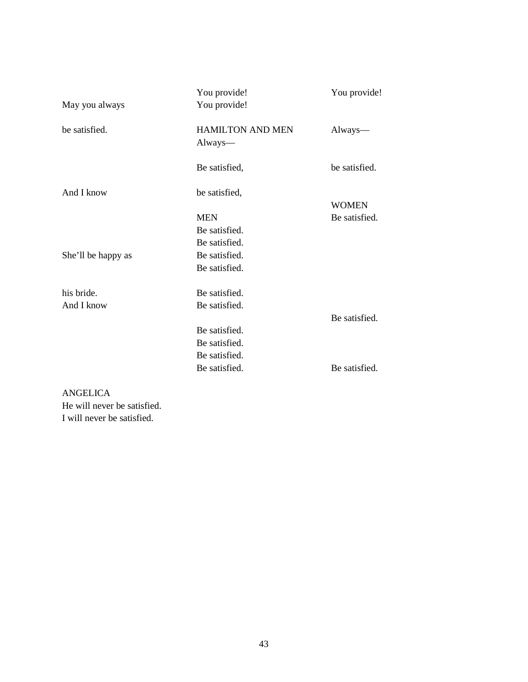| May you always     | You provide!<br>You provide!       | You provide!  |
|--------------------|------------------------------------|---------------|
| be satisfied.      | <b>HAMILTON AND MEN</b><br>Always— | Always-       |
|                    | Be satisfied,                      | be satisfied. |
| And I know         | be satisfied,                      | <b>WOMEN</b>  |
|                    | <b>MEN</b>                         | Be satisfied. |
|                    | Be satisfied.<br>Be satisfied.     |               |
| She'll be happy as | Be satisfied.                      |               |
|                    | Be satisfied.                      |               |
| his bride.         | Be satisfied.                      |               |
| And I know         | Be satisfied.                      |               |
|                    |                                    | Be satisfied. |
|                    | Be satisfied.                      |               |
|                    | Be satisfied.                      |               |
|                    | Be satisfied.                      |               |
|                    | Be satisfied.                      | Be satisfied. |

ANGELICA He will never be satisfied. I will never be satisfied.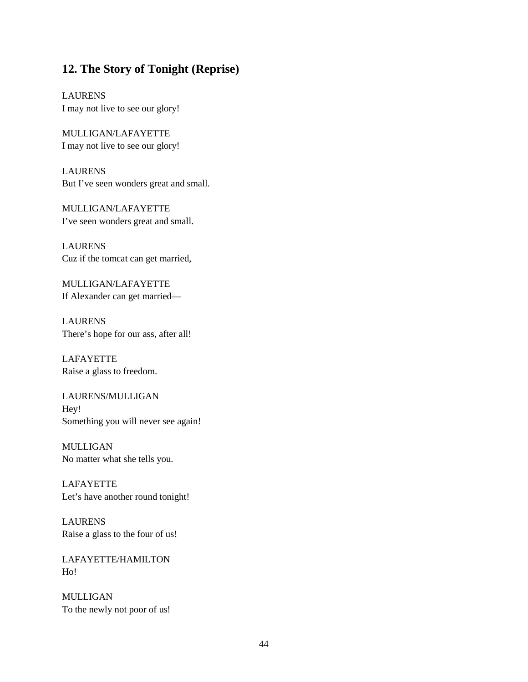# **12. The Story of Tonight (Reprise)**

LAURENS I may not live to see our glory!

MULLIGAN/LAFAYETTE I may not live to see our glory!

LAURENS But I've seen wonders great and small.

MULLIGAN/LAFAYETTE I've seen wonders great and small.

LAURENS Cuz if the tomcat can get married,

MULLIGAN/LAFAYETTE If Alexander can get married—

LAURENS There's hope for our ass, after all!

LAFAYETTE Raise a glass to freedom.

LAURENS/MULLIGAN Hey! Something you will never see again!

MULLIGAN No matter what she tells you.

LAFAYETTE Let's have another round tonight!

LAURENS Raise a glass to the four of us!

LAFAYETTE/HAMILTON H<sub>o</sub>!

MULLIGAN To the newly not poor of us!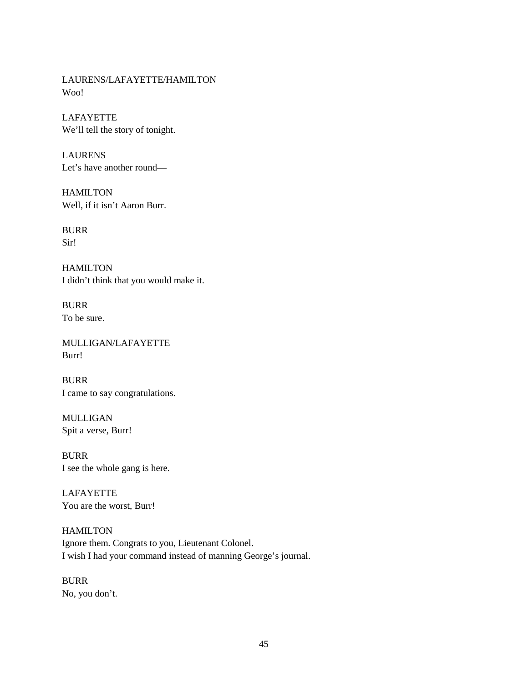LAURENS/LAFAYETTE/HAMILTON Woo!

LAFAYETTE We'll tell the story of tonight.

LAURENS Let's have another round—

**HAMILTON** Well, if it isn't Aaron Burr.

BURR Sir!

**HAMILTON** I didn't think that you would make it.

BURR To be sure.

MULLIGAN/LAFAYETTE Burr!

BURR I came to say congratulations.

MULLIGAN Spit a verse, Burr!

BURR I see the whole gang is here.

LAFAYETTE You are the worst, Burr!

**HAMILTON** Ignore them. Congrats to you, Lieutenant Colonel. I wish I had your command instead of manning George's journal.

BURR No, you don't.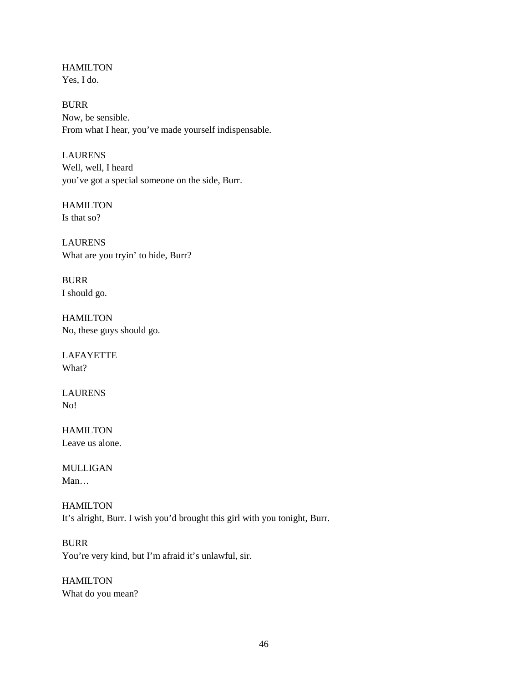**HAMILTON** Yes, I do.

BURR Now, be sensible. From what I hear, you've made yourself indispensable.

LAURENS Well, well, I heard you've got a special someone on the side, Burr.

**HAMILTON** Is that so?

LAURENS What are you tryin' to hide, Burr?

BURR I should go.

**HAMILTON** No, these guys should go.

LAFAYETTE What?

LAURENS No!

**HAMILTON** Leave us alone.

MULLIGAN Man…

**HAMILTON** It's alright, Burr. I wish you'd brought this girl with you tonight, Burr.

BURR You're very kind, but I'm afraid it's unlawful, sir.

**HAMILTON** What do you mean?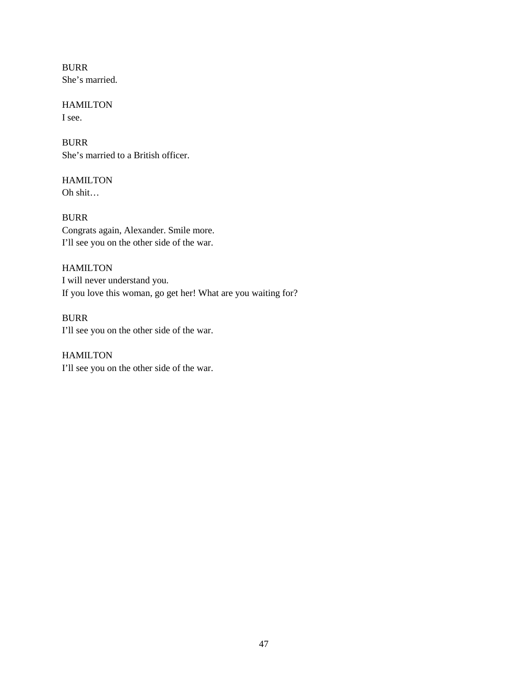BURR She's married.

**HAMILTON** I see.

BURR She's married to a British officer.

**HAMILTON** Oh shit…

BURR Congrats again, Alexander. Smile more. I'll see you on the other side of the war.

**HAMILTON** I will never understand you. If you love this woman, go get her! What are you waiting for?

BURR I'll see you on the other side of the war.

**HAMILTON** I'll see you on the other side of the war.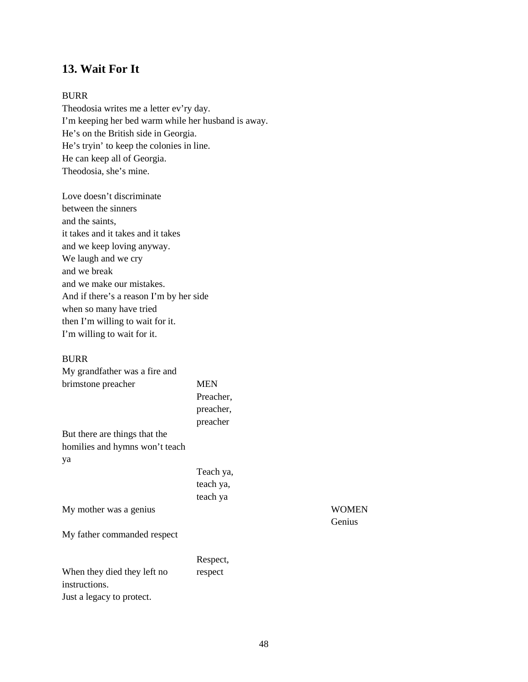# **13. Wait For It**

## BURR

Theodosia writes me a letter ev'ry day. I'm keeping her bed warm while her husband is away. He's on the British side in Georgia. He's tryin' to keep the colonies in line. He can keep all of Georgia. Theodosia, she's mine.

Love doesn't discriminate between the sinners and the saints, it takes and it takes and it takes and we keep loving anyway. We laugh and we cry and we break and we make our mistakes. And if there's a reason I'm by her side when so many have tried then I'm willing to wait for it. I'm willing to wait for it.

#### BURR

| My grandfather was a fire and  |            |
|--------------------------------|------------|
| brimstone preacher             | <b>MEN</b> |
|                                | Preacher,  |
|                                | preacher,  |
|                                | preacher   |
| But there are things that the  |            |
| homilies and hymns won't teach |            |
| ya                             |            |
|                                | Teach ya,  |
|                                | teach ya,  |
|                                | teach ya   |
| My mother was a genius         |            |
| My father commanded respect    |            |
|                                | Respect,   |
| When they died they left no    | respect    |
| instructions.                  |            |
| Just a legacy to protect.      |            |

WOMEN Genius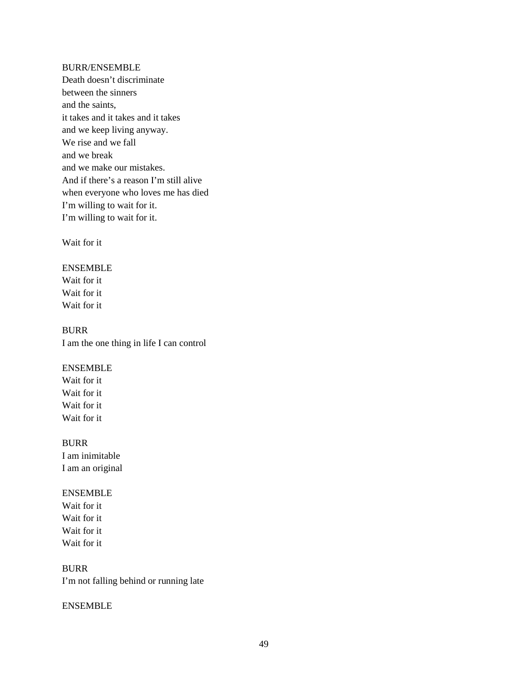### BURR/ENSEMBLE

Death doesn't discriminate between the sinners and the saints, it takes and it takes and it takes and we keep living anyway. We rise and we fall and we break and we make our mistakes. And if there's a reason I'm still alive when everyone who loves me has died I'm willing to wait for it. I'm willing to wait for it.

Wait for it

#### ENSEMBLE

Wait for it Wait for it Wait for it

BURR I am the one thing in life I can control

#### ENSEMBLE

Wait for it Wait for it Wait for it Wait for it

#### BURR

I am inimitable I am an original

### ENSEMBLE

Wait for it Wait for it Wait for it Wait for it

BURR I'm not falling behind or running late

#### ENSEMBLE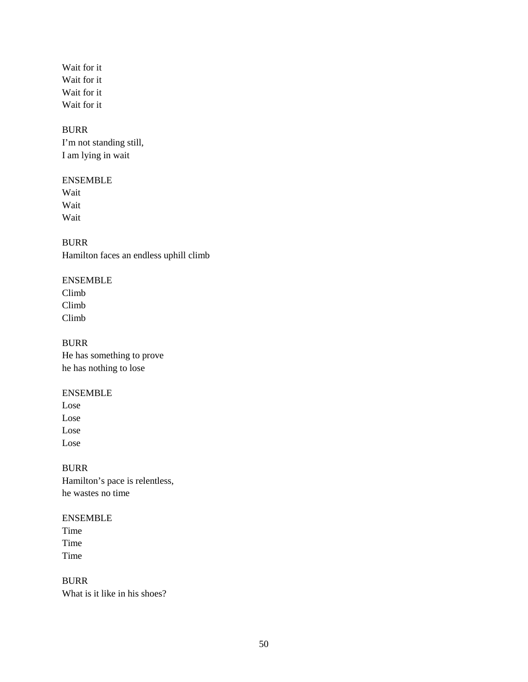Wait for it Wait for it Wait for it Wait for it

## BURR

I'm not standing still, I am lying in wait

### ENSEMBLE

Wait Wait

Wait

# BURR

Hamilton faces an endless uphill climb

## ENSEMBLE

Climb Climb Climb

# BURR

He has something to prove he has nothing to lose

## ENSEMBLE

Lose Lose Lose Lose

## BURR Hamilton's pace is relentless, he wastes no time

# ENSEMBLE

Time Time Time

## BURR

What is it like in his shoes?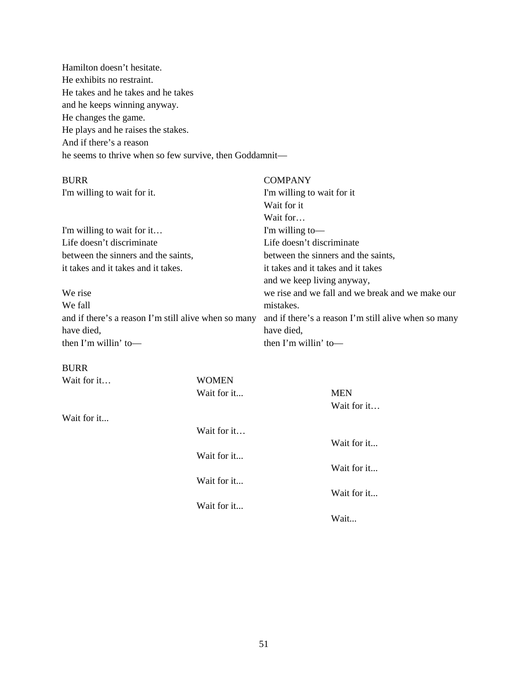Hamilton doesn't hesitate. He exhibits no restraint. He takes and he takes and he takes and he keeps winning anyway. He changes the game. He plays and he raises the stakes. And if there's a reason he seems to thrive when so few survive, then Goddamnit—

| <b>BURR</b>                                          | <b>COMPANY</b>                                       |
|------------------------------------------------------|------------------------------------------------------|
| I'm willing to wait for it.                          | I'm willing to wait for it                           |
|                                                      | Wait for it                                          |
|                                                      | Wait for                                             |
| I'm willing to wait for it                           | I'm willing to-                                      |
| Life doesn't discriminate                            | Life doesn't discriminate                            |
| between the sinners and the saints,                  | between the sinners and the saints,                  |
| it takes and it takes and it takes.                  | it takes and it takes and it takes                   |
|                                                      | and we keep living anyway,                           |
| We rise                                              | we rise and we fall and we break and we make our     |
| We fall                                              | mistakes.                                            |
| and if there's a reason I'm still alive when so many | and if there's a reason I'm still alive when so many |
| have died,                                           | have died,                                           |
| then $\Gamma$ m willin' to-                          | then $\Gamma$ m willin' to-                          |

### BURR

| Wait for it | <b>WOMEN</b> |             |
|-------------|--------------|-------------|
|             | Wait for it  | <b>MEN</b>  |
|             |              | Wait for it |
| Wait for it |              |             |
|             | Wait for it  |             |
|             |              | Wait for it |
|             | Wait for it  |             |
|             |              | Wait for it |
|             | Wait for it  |             |
|             |              | Wait for it |
|             | Wait for it  |             |
|             |              | Wait        |
|             |              |             |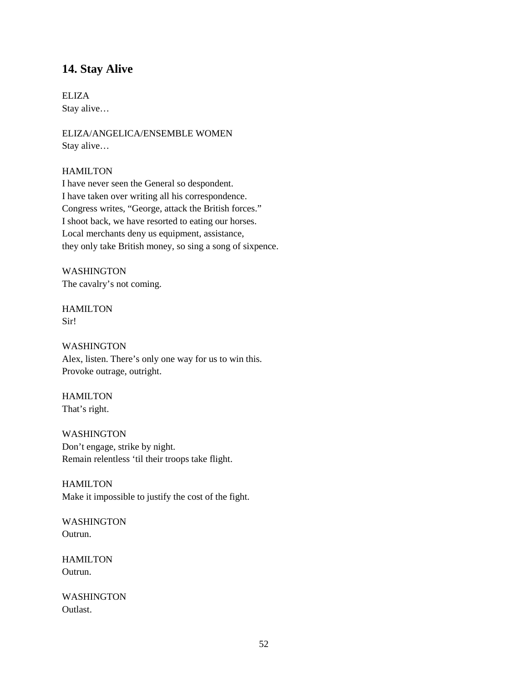# **14. Stay Alive**

ELIZA Stay alive…

ELIZA/ANGELICA/ENSEMBLE WOMEN Stay alive…

## **HAMILTON**

I have never seen the General so despondent. I have taken over writing all his correspondence. Congress writes, "George, attack the British forces." I shoot back, we have resorted to eating our horses. Local merchants deny us equipment, assistance, they only take British money, so sing a song of sixpence.

# WASHINGTON

The cavalry's not coming.

#### **HAMILTON** Sir!

### WASHINGTON

Alex, listen. There's only one way for us to win this. Provoke outrage, outright.

#### **HAMILTON** That's right.

WASHINGTON Don't engage, strike by night. Remain relentless 'til their troops take flight.

**HAMILTON** Make it impossible to justify the cost of the fight.

WASHINGTON Outrun.

**HAMILTON** Outrun.

WASHINGTON Outlast.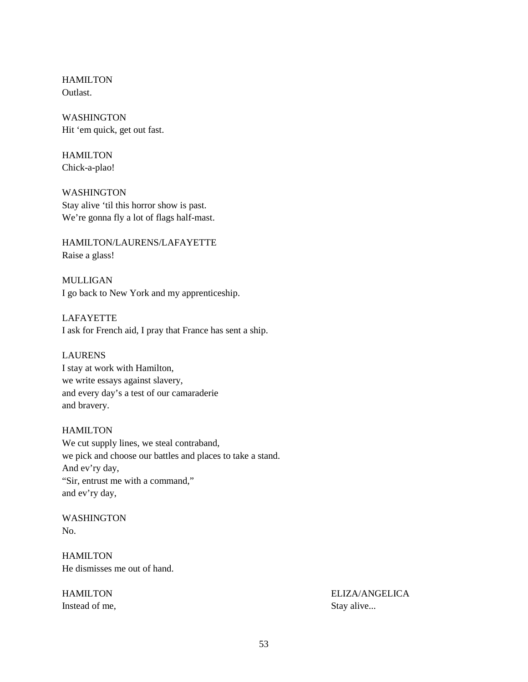HAMILTON Outlast.

WASHINGTON Hit 'em quick, get out fast.

**HAMILTON** Chick-a-plao!

WASHINGTON Stay alive 'til this horror show is past. We're gonna fly a lot of flags half-mast.

HAMILTON/LAURENS/LAFAYETTE Raise a glass!

MULLIGAN I go back to New York and my apprenticeship.

LAFAYETTE I ask for French aid, I pray that France has sent a ship.

LAURENS I stay at work with Hamilton, we write essays against slavery, and every day's a test of our camaraderie and bravery.

# **HAMILTON** We cut supply lines, we steal contraband, we pick and choose our battles and places to take a stand. And ev'ry day, "Sir, entrust me with a command,"

and ev'ry day,

WASHINGTON No.

**HAMILTON** He dismisses me out of hand.

**HAMILTON** Instead of me, ELIZA/ANGELICA Stay alive...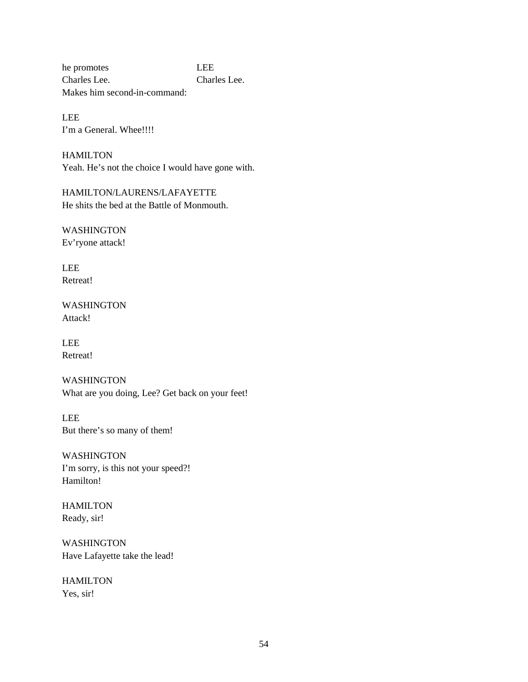he promotes Charles Lee. Makes him second-in-command: LEE Charles Lee.

LEE I'm a General. Whee!!!!

**HAMILTON** Yeah. He's not the choice I would have gone with.

HAMILTON/LAURENS/LAFAYETTE He shits the bed at the Battle of Monmouth.

WASHINGTON Ev'ryone attack!

LEE Retreat!

WASHINGTON Attack!

LEE Retreat!

WASHINGTON What are you doing, Lee? Get back on your feet!

LEE But there's so many of them!

WASHINGTON I'm sorry, is this not your speed?! Hamilton!

**HAMILTON** Ready, sir!

WASHINGTON Have Lafayette take the lead!

HAMILTON Yes, sir!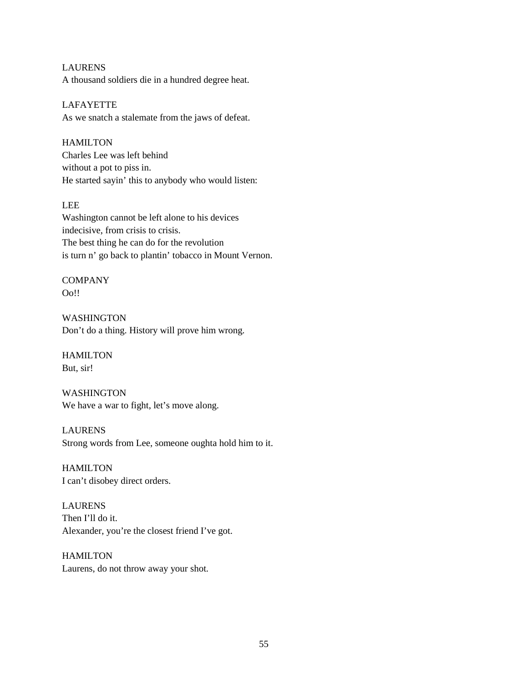LAURENS A thousand soldiers die in a hundred degree heat.

LAFAYETTE As we snatch a stalemate from the jaws of defeat.

### **HAMILTON**

Charles Lee was left behind without a pot to piss in. He started sayin' this to anybody who would listen:

#### LEE

Washington cannot be left alone to his devices indecisive, from crisis to crisis. The best thing he can do for the revolution is turn n' go back to plantin' tobacco in Mount Vernon.

# **COMPANY**

Oo!!

WASHINGTON Don't do a thing. History will prove him wrong.

#### **HAMILTON** But, sir!

WASHINGTON We have a war to fight, let's move along.

LAURENS Strong words from Lee, someone oughta hold him to it.

**HAMILTON** I can't disobey direct orders.

LAURENS Then I'll do it. Alexander, you're the closest friend I've got.

HAMILTON Laurens, do not throw away your shot.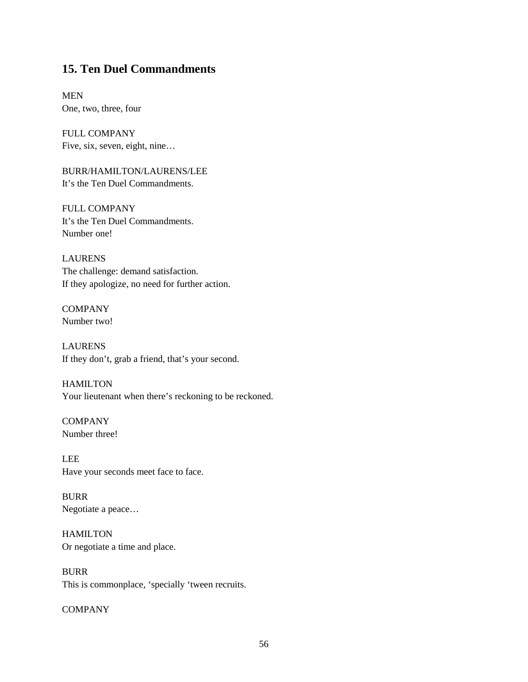# **15. Ten Duel Commandments**

MEN One, two, three, four

FULL COMPANY Five, six, seven, eight, nine…

BURR/HAMILTON/LAURENS/LEE It's the Ten Duel Commandments.

FULL COMPANY It's the Ten Duel Commandments. Number one!

LAURENS The challenge: demand satisfaction. If they apologize, no need for further action.

**COMPANY** Number two!

LAURENS If they don't, grab a friend, that's your second.

**HAMILTON** Your lieutenant when there's reckoning to be reckoned.

**COMPANY** Number three!

LEE Have your seconds meet face to face.

BURR Negotiate a peace…

**HAMILTON** Or negotiate a time and place.

BURR This is commonplace, 'specially 'tween recruits.

## **COMPANY**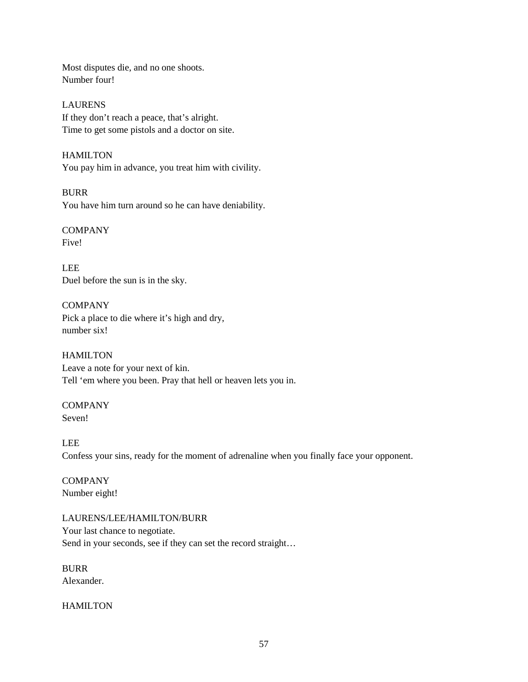Most disputes die, and no one shoots. Number four!

LAURENS If they don't reach a peace, that's alright. Time to get some pistols and a doctor on site.

**HAMILTON** You pay him in advance, you treat him with civility.

BURR You have him turn around so he can have deniability.

**COMPANY** Five!

LEE Duel before the sun is in the sky.

COMPANY Pick a place to die where it's high and dry, number six!

**HAMILTON** Leave a note for your next of kin. Tell 'em where you been. Pray that hell or heaven lets you in.

**COMPANY** Seven!

LEE Confess your sins, ready for the moment of adrenaline when you finally face your opponent.

**COMPANY** Number eight!

LAURENS/LEE/HAMILTON/BURR

Your last chance to negotiate. Send in your seconds, see if they can set the record straight…

BURR Alexander.

**HAMILTON**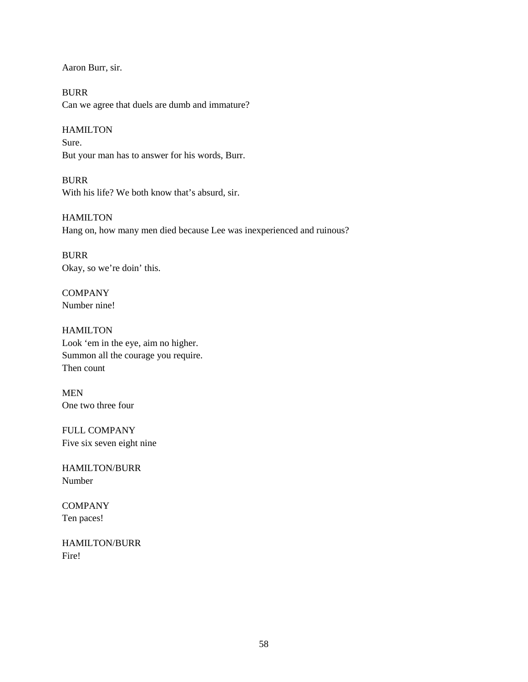Aaron Burr, sir.

BURR Can we agree that duels are dumb and immature?

**HAMILTON** Sure. But your man has to answer for his words, Burr.

BURR With his life? We both know that's absurd, sir.

**HAMILTON** Hang on, how many men died because Lee was inexperienced and ruinous?

BURR Okay, so we're doin' this.

**COMPANY** Number nine!

**HAMILTON** Look 'em in the eye, aim no higher. Summon all the courage you require. Then count

MEN One two three four

FULL COMPANY Five six seven eight nine

HAMILTON/BURR Number

**COMPANY** Ten paces!

HAMILTON/BURR Fire!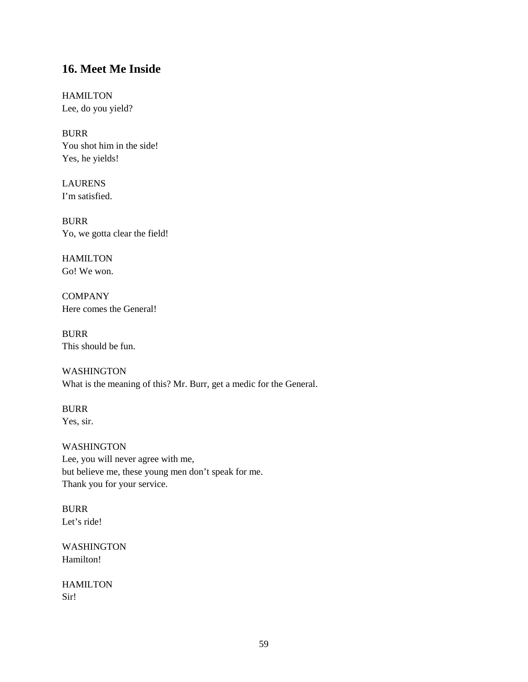# **16. Meet Me Inside**

**HAMILTON** Lee, do you yield?

BURR You shot him in the side! Yes, he yields!

LAURENS I'm satisfied.

BURR Yo, we gotta clear the field!

**HAMILTON** Go! We won.

COMPANY Here comes the General!

BURR This should be fun.

WASHINGTON What is the meaning of this? Mr. Burr, get a medic for the General.

BURR Yes, sir.

WASHINGTON Lee, you will never agree with me, but believe me, these young men don't speak for me. Thank you for your service.

BURR Let's ride!

WASHINGTON Hamilton!

**HAMILTON** Sir!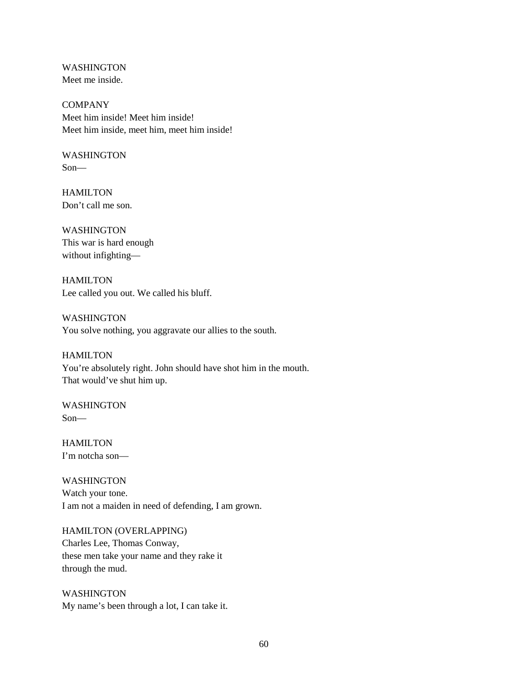WASHINGTON Meet me inside.

**COMPANY** Meet him inside! Meet him inside! Meet him inside, meet him, meet him inside!

WASHINGTON Son—

**HAMILTON** Don't call me son.

WASHINGTON This war is hard enough without infighting—

**HAMILTON** Lee called you out. We called his bluff.

WASHINGTON You solve nothing, you aggravate our allies to the south.

**HAMILTON** You're absolutely right. John should have shot him in the mouth. That would've shut him up.

WASHINGTON Son—

**HAMILTON** I'm notcha son—

WASHINGTON Watch your tone. I am not a maiden in need of defending, I am grown.

HAMILTON (OVERLAPPING) Charles Lee, Thomas Conway, these men take your name and they rake it through the mud.

WASHINGTON My name's been through a lot, I can take it.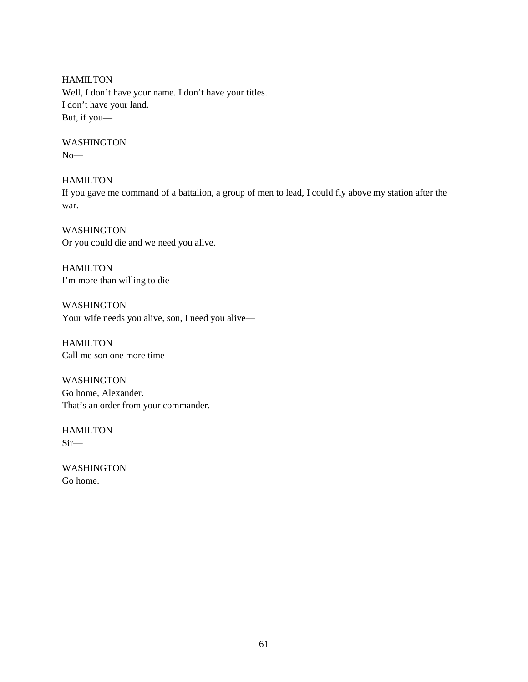HAMILTON Well, I don't have your name. I don't have your titles. I don't have your land. But, if you—

WASHINGTON No—

**HAMILTON** If you gave me command of a battalion, a group of men to lead, I could fly above my station after the war.

WASHINGTON Or you could die and we need you alive.

**HAMILTON** I'm more than willing to die—

WASHINGTON Your wife needs you alive, son, I need you alive—

**HAMILTON** Call me son one more time—

WASHINGTON Go home, Alexander. That's an order from your commander.

**HAMILTON** Sir—

WASHINGTON Go home.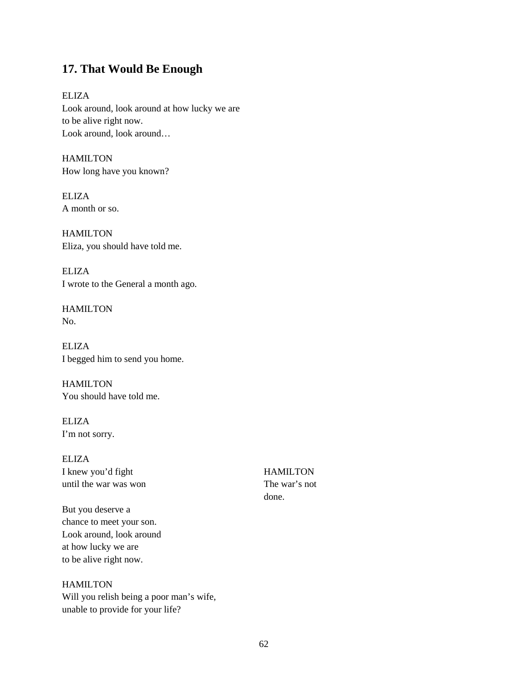# **17. That Would Be Enough**

ELIZA

Look around, look around at how lucky we are to be alive right now. Look around, look around…

**HAMILTON** How long have you known?

ELIZA A month or so.

**HAMILTON** Eliza, you should have told me.

ELIZA I wrote to the General a month ago.

**HAMILTON** No.

ELIZA I begged him to send you home.

**HAMILTON** You should have told me.

ELIZA I'm not sorry.

ELIZA I knew you'd fight until the war was won

But you deserve a chance to meet your son. Look around, look around at how lucky we are to be alive right now.

HAMILTON Will you relish being a poor man's wife, unable to provide for your life?

HAMILTON

The war's not done.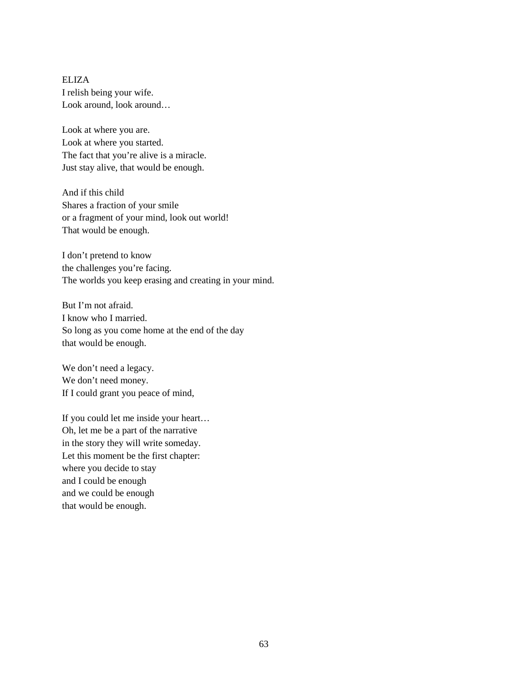ELIZA I relish being your wife. Look around, look around…

Look at where you are. Look at where you started. The fact that you're alive is a miracle. Just stay alive, that would be enough.

And if this child Shares a fraction of your smile or a fragment of your mind, look out world! That would be enough.

I don't pretend to know the challenges you're facing. The worlds you keep erasing and creating in your mind.

But I'm not afraid. I know who I married. So long as you come home at the end of the day that would be enough.

We don't need a legacy. We don't need money. If I could grant you peace of mind,

If you could let me inside your heart… Oh, let me be a part of the narrative in the story they will write someday. Let this moment be the first chapter: where you decide to stay and I could be enough and we could be enough that would be enough.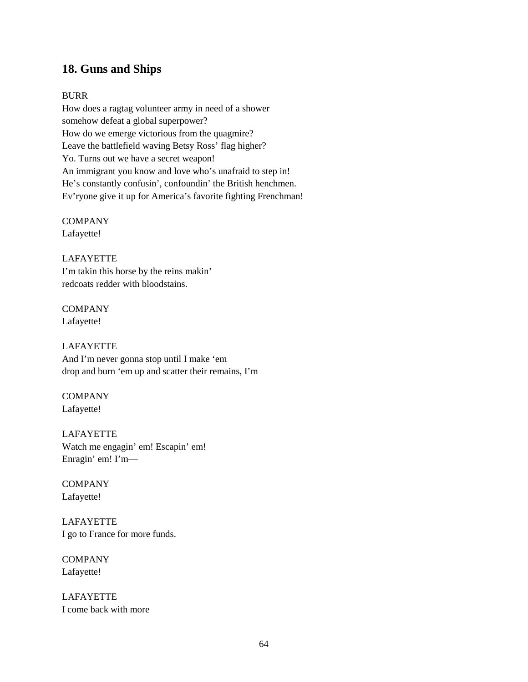# **18. Guns and Ships**

### BURR

How does a ragtag volunteer army in need of a shower somehow defeat a global superpower? How do we emerge victorious from the quagmire? Leave the battlefield waving Betsy Ross' flag higher? Yo. Turns out we have a secret weapon! An immigrant you know and love who's unafraid to step in! He's constantly confusin', confoundin' the British henchmen. Ev'ryone give it up for America's favorite fighting Frenchman!

**COMPANY** Lafayette!

LAFAYETTE I'm takin this horse by the reins makin' redcoats redder with bloodstains.

**COMPANY** Lafayette!

LAFAYETTE And I'm never gonna stop until I make 'em drop and burn 'em up and scatter their remains, I'm

**COMPANY** Lafayette!

LAFAYETTE Watch me engagin' em! Escapin' em! Enragin' em! I'm-

**COMPANY** Lafayette!

LAFAYETTE I go to France for more funds.

**COMPANY** Lafayette!

LAFAYETTE I come back with more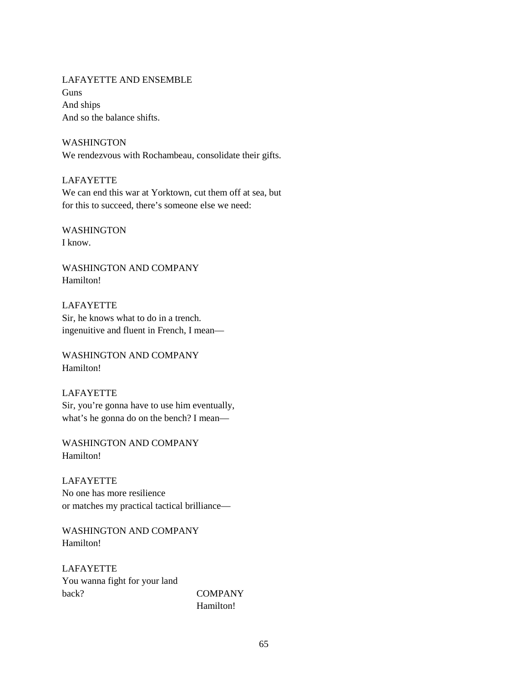LAFAYETTE AND ENSEMBLE Guns And ships And so the balance shifts.

WASHINGTON We rendezvous with Rochambeau, consolidate their gifts.

LAFAYETTE We can end this war at Yorktown, cut them off at sea, but for this to succeed, there's someone else we need:

**WASHINGTON** I know.

WASHINGTON AND COMPANY Hamilton!

LAFAYETTE Sir, he knows what to do in a trench. ingenuitive and fluent in French, I mean—

WASHINGTON AND COMPANY Hamilton!

LAFAYETTE Sir, you're gonna have to use him eventually, what's he gonna do on the bench? I mean—

WASHINGTON AND COMPANY Hamilton!

LAFAYETTE No one has more resilience or matches my practical tactical brilliance—

WASHINGTON AND COMPANY Hamilton!

LAFAYETTE You wanna fight for your land back? COMPANY

Hamilton!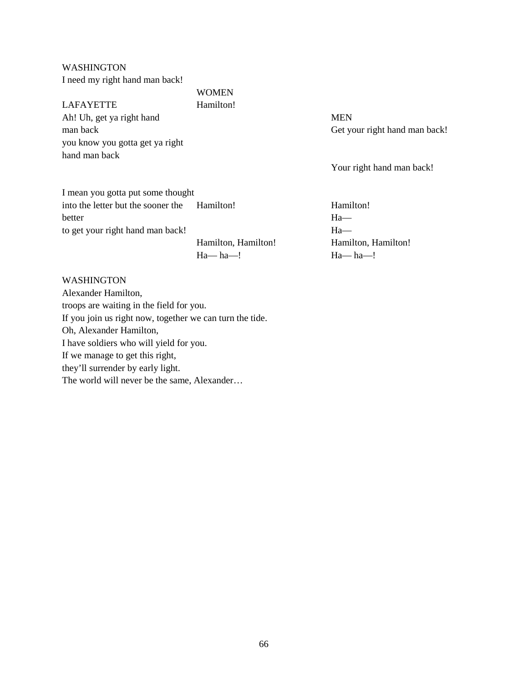WASHINGTON

I need my right hand man back!

### WOMEN Hamilton!

LAFAYETTE Ah! Uh, get ya right hand man back you know you gotta get ya right hand man back

MEN Get your right hand man back!

Your right hand man back!

| into the letter but the sooner the Hamilton!<br>Hamilton! |
|-----------------------------------------------------------|
| $Ha$ —                                                    |
| Ha                                                        |
| Hamilton, Hamilton!<br>Hamilton, Hamilton!                |
| $Ha$ — ha—!<br>$Ha$ — ha—!                                |
|                                                           |

# WASHINGTON Alexander Hamilton, troops are waiting in the field for you. If you join us right now, together we can turn the tide. Oh, Alexander Hamilton, I have soldiers who will yield for you. If we manage to get this right, they'll surrender by early light. The world will never be the same, Alexander…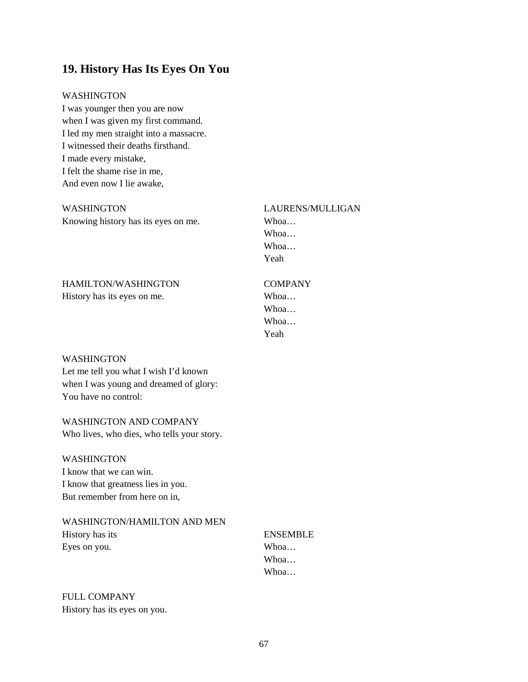# **19. History Has Its Eyes On You**

### WASHINGTON

I was younger then you are now when I was given my first command. I led my men straight into a massacre. I witnessed their deaths firsthand. I made every mistake, I felt the shame rise in me, And even now I lie awake,

## WASHINGTON Knowing history has its eyes on me.

### LAURENS/MULLIGAN

Whoa… Whoa… Whoa… Yeah

HAMILTON/WASHINGTON History has its eyes on me.

**COMPANY** Whoa…

Whoa… Whoa… Yeah

#### WASHINGTON

Let me tell you what I wish I'd known when I was young and dreamed of glory: You have no control:

# WASHINGTON AND COMPANY

Who lives, who dies, who tells your story.

### WASHINGTON

I know that we can win. I know that greatness lies in you. But remember from here on in,

| WASHINGTON/HAMILTON AND MEN |  |
|-----------------------------|--|
| History has its             |  |
| Eyes on you.                |  |

# ENSEMBLE

Whoa… Whoa… Whoa…

FULL COMPANY History has its eyes on you.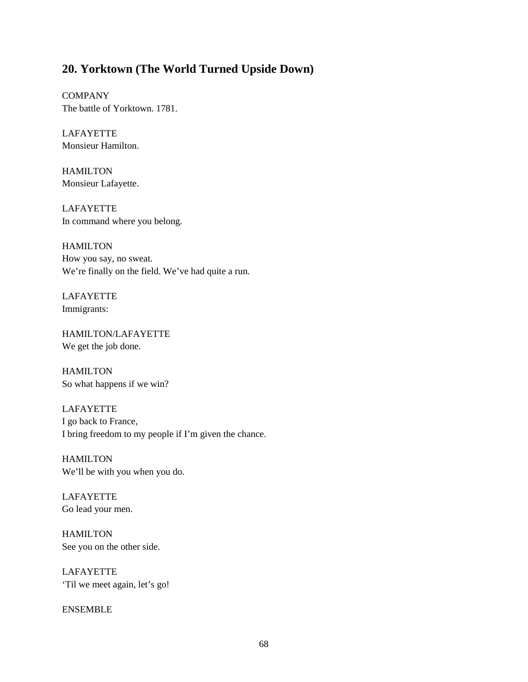# **20. Yorktown (The World Turned Upside Down)**

**COMPANY** The battle of Yorktown. 1781.

LAFAYETTE Monsieur Hamilton.

**HAMILTON** Monsieur Lafayette.

LAFAYETTE In command where you belong.

**HAMILTON** How you say, no sweat. We're finally on the field. We've had quite a run.

LAFAYETTE Immigrants:

HAMILTON/LAFAYETTE We get the job done.

**HAMILTON** So what happens if we win?

LAFAYETTE I go back to France, I bring freedom to my people if I'm given the chance.

**HAMILTON** We'll be with you when you do.

LAFAYETTE Go lead your men.

**HAMILTON** See you on the other side.

LAFAYETTE 'Til we meet again, let's go!

ENSEMBLE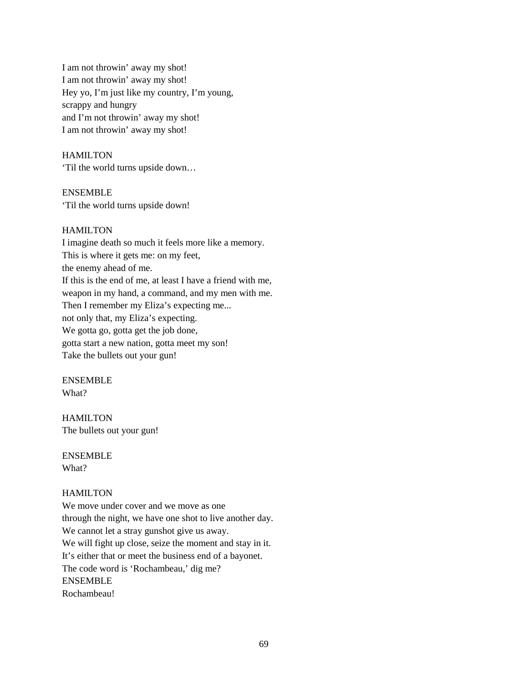I am not throwin' away my shot! I am not throwin' away my shot! Hey yo, I'm just like my country, I'm young, scrappy and hungry and I'm not throwin' away my shot! I am not throwin' away my shot!

### **HAMILTON**

'Til the world turns upside down…

ENSEMBLE 'Til the world turns upside down!

#### HAMILTON

I imagine death so much it feels more like a memory. This is where it gets me: on my feet, the enemy ahead of me. If this is the end of me, at least I have a friend with me, weapon in my hand, a command, and my men with me. Then I remember my Eliza's expecting me... not only that, my Eliza's expecting. We gotta go, gotta get the job done, gotta start a new nation, gotta meet my son! Take the bullets out your gun!

# ENSEMBLE

What?

**HAMILTON** The bullets out your gun!

ENSEMBLE What?

#### **HAMILTON**

We move under cover and we move as one through the night, we have one shot to live another day. We cannot let a stray gunshot give us away. We will fight up close, seize the moment and stay in it. It's either that or meet the business end of a bayonet. The code word is 'Rochambeau,' dig me? ENSEMBLE Rochambeau!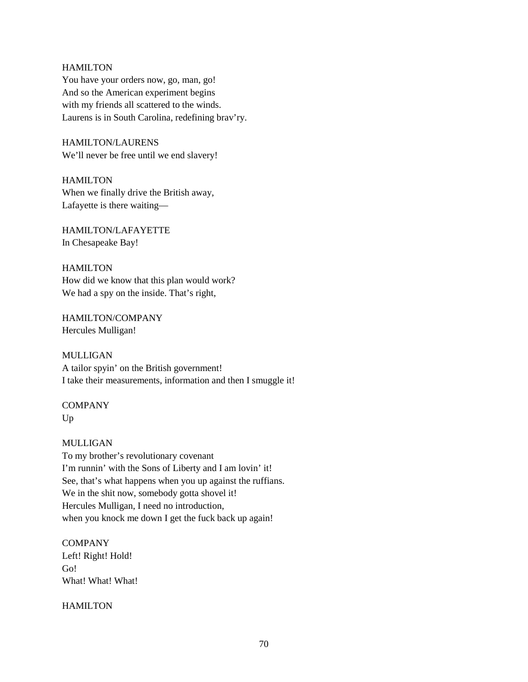#### **HAMILTON**

You have your orders now, go, man, go! And so the American experiment begins with my friends all scattered to the winds. Laurens is in South Carolina, redefining brav'ry.

HAMILTON/LAURENS We'll never be free until we end slavery!

**HAMILTON** When we finally drive the British away, Lafayette is there waiting—

HAMILTON/LAFAYETTE In Chesapeake Bay!

### **HAMILTON**

How did we know that this plan would work? We had a spy on the inside. That's right,

HAMILTON/COMPANY Hercules Mulligan!

MULLIGAN A tailor spyin' on the British government! I take their measurements, information and then I smuggle it!

**COMPANY** Up

MULLIGAN To my brother's revolutionary covenant I'm runnin' with the Sons of Liberty and I am lovin' it! See, that's what happens when you up against the ruffians. We in the shit now, somebody gotta shovel it! Hercules Mulligan, I need no introduction, when you knock me down I get the fuck back up again!

COMPANY Left! Right! Hold! Go! What! What! What!

**HAMILTON**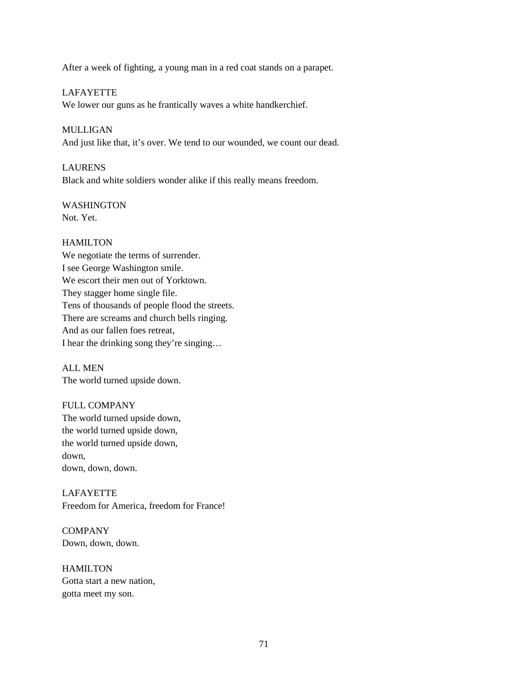After a week of fighting, a young man in a red coat stands on a parapet.

### LAFAYETTE

We lower our guns as he frantically waves a white handkerchief.

#### MULLIGAN

And just like that, it's over. We tend to our wounded, we count our dead.

### LAURENS

Black and white soldiers wonder alike if this really means freedom.

# WASHINGTON

Not. Yet.

### **HAMILTON**

We negotiate the terms of surrender. I see George Washington smile. We escort their men out of Yorktown. They stagger home single file. Tens of thousands of people flood the streets. There are screams and church bells ringing. And as our fallen foes retreat, I hear the drinking song they're singing…

ALL MEN The world turned upside down.

FULL COMPANY The world turned upside down, the world turned upside down, the world turned upside down, down, down, down, down.

LAFAYETTE Freedom for America, freedom for France!

**COMPANY** Down, down, down.

**HAMILTON** Gotta start a new nation, gotta meet my son.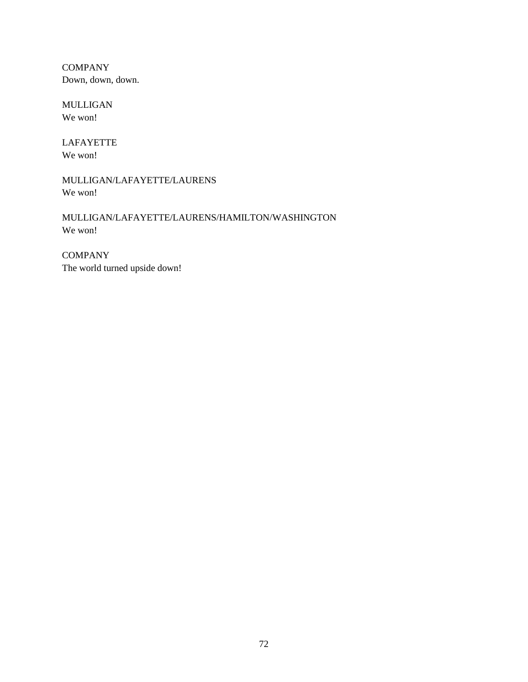**COMPANY** Down, down, down.

MULLIGAN We won!

LAFAYETTE We won!

MULLIGAN/LAFAYETTE/LAURENS We won!

MULLIGAN/LAFAYETTE/LAURENS/HAMILTON/WASHINGTON We won!

**COMPANY** The world turned upside down!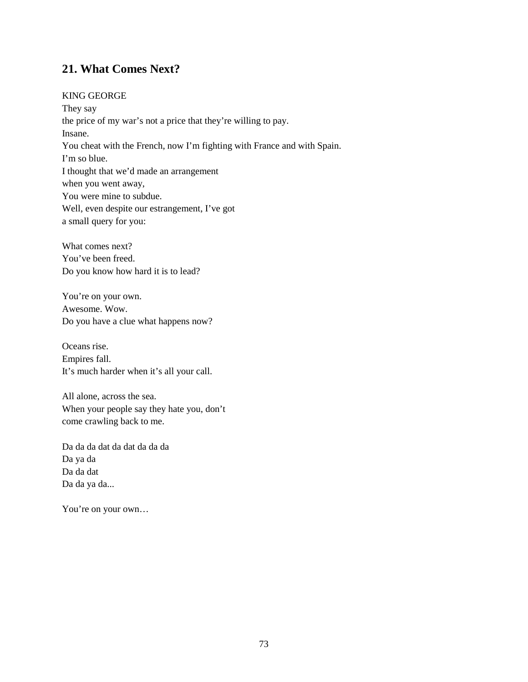# **21. What Comes Next?**

## KING GEORGE

They say the price of my war's not a price that they're willing to pay. Insane. You cheat with the French, now I'm fighting with France and with Spain. I'm so blue. I thought that we'd made an arrangement when you went away, You were mine to subdue. Well, even despite our estrangement, I've got a small query for you:

What comes next? You've been freed. Do you know how hard it is to lead?

You're on your own. Awesome. Wow. Do you have a clue what happens now?

Oceans rise. Empires fall. It's much harder when it's all your call.

All alone, across the sea. When your people say they hate you, don't come crawling back to me.

Da da da dat da dat da da da Da ya da Da da dat Da da ya da...

You're on your own…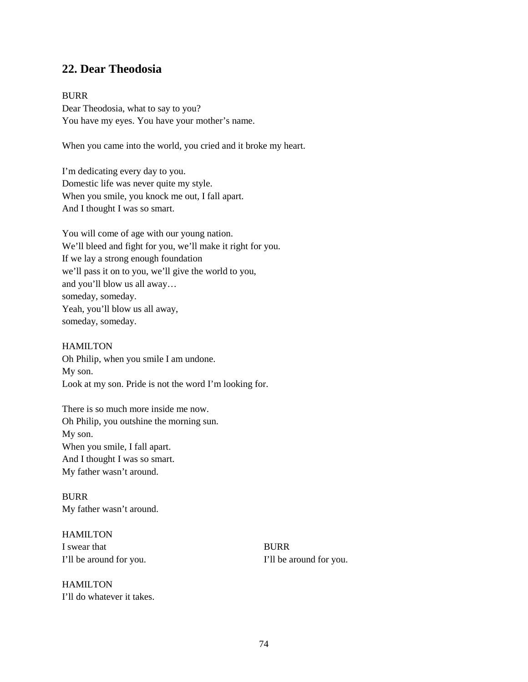# **22. Dear Theodosia**

## BURR

Dear Theodosia, what to say to you? You have my eyes. You have your mother's name.

When you came into the world, you cried and it broke my heart.

I'm dedicating every day to you. Domestic life was never quite my style. When you smile, you knock me out, I fall apart. And I thought I was so smart.

You will come of age with our young nation. We'll bleed and fight for you, we'll make it right for you. If we lay a strong enough foundation we'll pass it on to you, we'll give the world to you, and you'll blow us all away… someday, someday. Yeah, you'll blow us all away, someday, someday.

**HAMILTON** Oh Philip, when you smile I am undone. My son. Look at my son. Pride is not the word I'm looking for.

There is so much more inside me now. Oh Philip, you outshine the morning sun. My son. When you smile, I fall apart. And I thought I was so smart. My father wasn't around.

BURR My father wasn't around.

**HAMILTON** I swear that I'll be around for you.

HAMILTON I'll do whatever it takes. BURR I'll be around for you.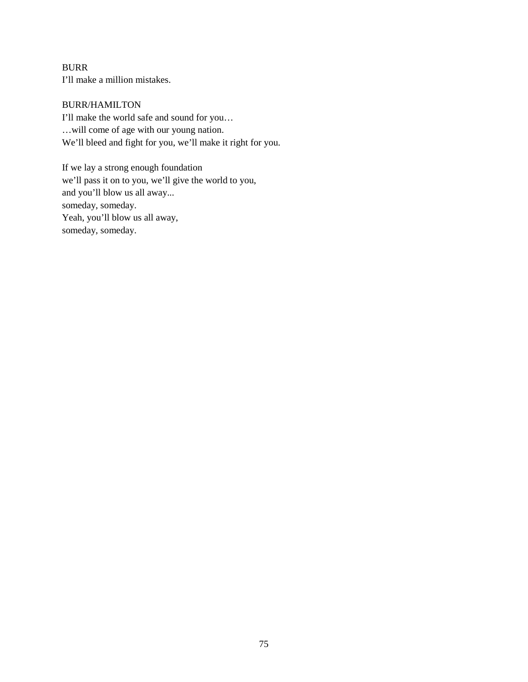BURR I'll make a million mistakes.

## BURR/HAMILTON

I'll make the world safe and sound for you… …will come of age with our young nation. We'll bleed and fight for you, we'll make it right for you.

If we lay a strong enough foundation we'll pass it on to you, we'll give the world to you, and you'll blow us all away... someday, someday. Yeah, you'll blow us all away, someday, someday.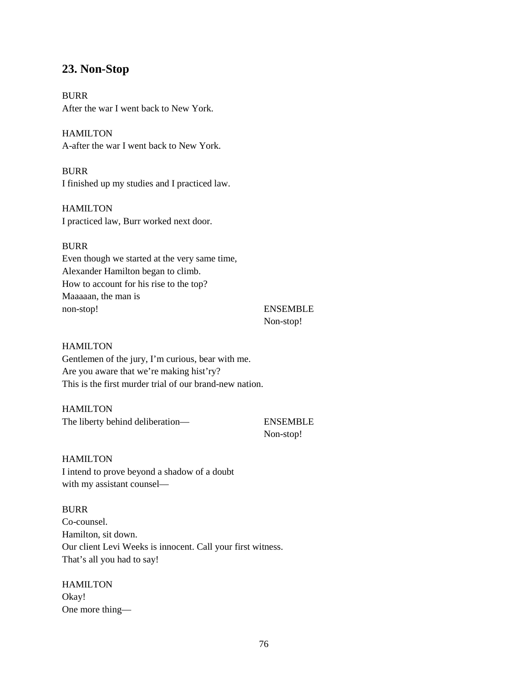# **23. Non-Stop**

BURR After the war I went back to New York.

**HAMILTON** A-after the war I went back to New York.

BURR I finished up my studies and I practiced law.

**HAMILTON** I practiced law, Burr worked next door.

## BURR

Even though we started at the very same time, Alexander Hamilton began to climb. How to account for his rise to the top? Maaaaan, the man is non-stop! ENSEMBLE

Non-stop!

## **HAMILTON**

Gentlemen of the jury, I'm curious, bear with me. Are you aware that we're making hist'ry? This is the first murder trial of our brand-new nation.

**HAMILTON** The liberty behind deliberation— ENSEMBLE

Non-stop!

**HAMILTON** I intend to prove beyond a shadow of a doubt with my assistant counsel—

BURR Co-counsel. Hamilton, sit down. Our client Levi Weeks is innocent. Call your first witness. That's all you had to say!

HAMILTON Okay! One more thing—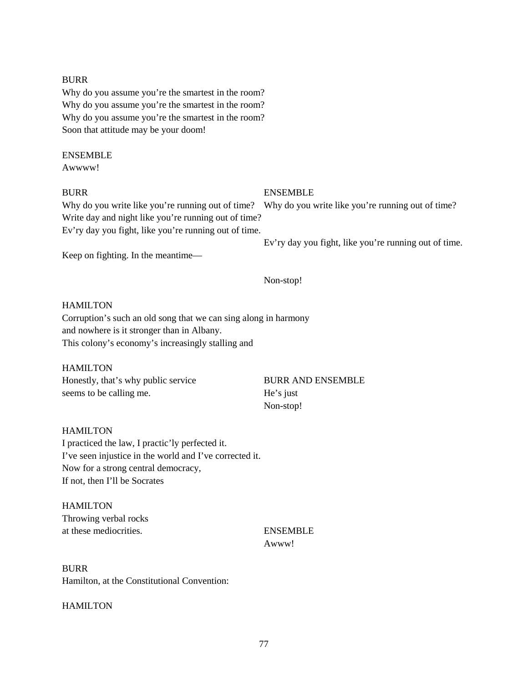#### BURR

Why do you assume you're the smartest in the room? Why do you assume you're the smartest in the room? Why do you assume you're the smartest in the room? Soon that attitude may be your doom!

## ENSEMBLE

Awwww!

## BURR

## ENSEMBLE

Why do you write like you're running out of time? Why do you write like you're running out of time? Write day and night like you're running out of time? Ev'ry day you fight, like you're running out of time.

Ev'ry day you fight, like you're running out of time.

Keep on fighting. In the meantime—

Non-stop!

## **HAMILTON**

Corruption's such an old song that we can sing along in harmony and nowhere is it stronger than in Albany. This colony's economy's increasingly stalling and

HAMILTON Honestly, that's why public service seems to be calling me.

BURR AND ENSEMBLE He's just Non-stop!

HAMILTON I practiced the law, I practic'ly perfected it. I've seen injustice in the world and I've corrected it. Now for a strong central democracy, If not, then I'll be Socrates

**HAMILTON** Throwing verbal rocks at these mediocrities. ENSEMBLE

Awww!

BURR Hamilton, at the Constitutional Convention:

HAMILTON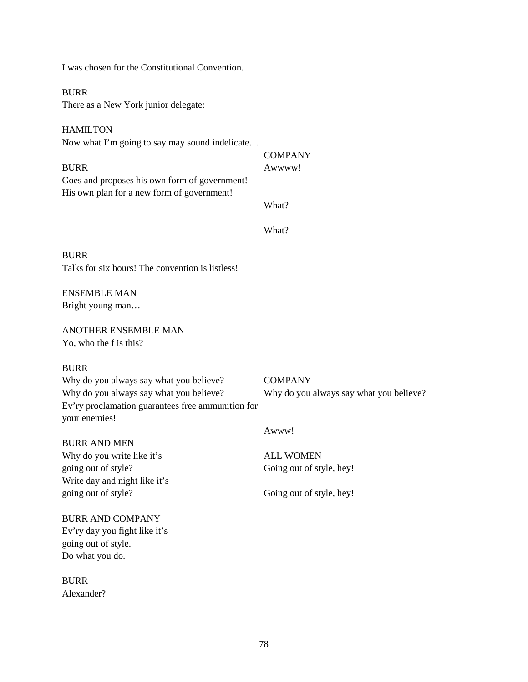I was chosen for the Constitutional Convention.

BURR There as a New York junior delegate:

HAMILTON Now what I'm going to say may sound indelicate…

|                                               | <b>COMPANY</b> |
|-----------------------------------------------|----------------|
| <b>BURR</b>                                   | Awwww!         |
| Goes and proposes his own form of government! |                |
| His own plan for a new form of government!    |                |

What?

What?

BURR Talks for six hours! The convention is listless!

ENSEMBLE MAN Bright young man…

BURR AND MEN

going out of style?

going out of style?

Why do you write like it's

Write day and night like it's

ANOTHER ENSEMBLE MAN Yo, who the f is this?

## BURR

Why do you always say what you believe? Why do you always say what you believe? Ev'ry proclamation guarantees free ammunition for your enemies!

**COMPANY** 

Why do you always say what you believe?

Awww!

ALL WOMEN Going out of style, hey!

Going out of style, hey!

BURR AND COMPANY Ev'ry day you fight like it's going out of style. Do what you do.

BURR Alexander?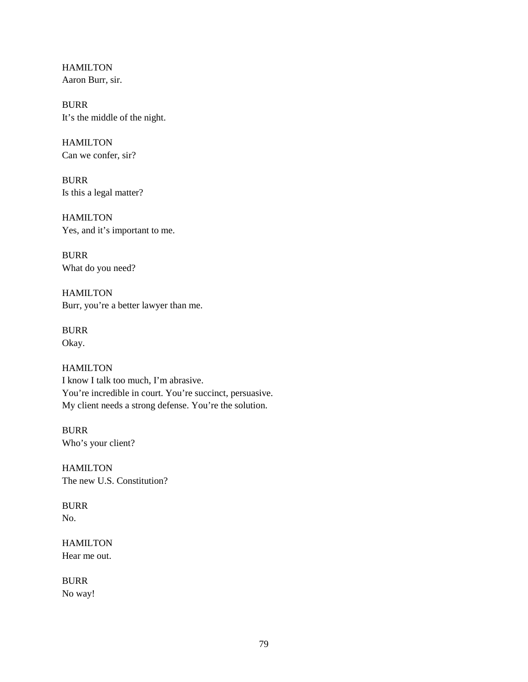**HAMILTON** Aaron Burr, sir.

BURR It's the middle of the night.

HAMILTON Can we confer, sir?

BURR Is this a legal matter?

**HAMILTON** Yes, and it's important to me.

BURR What do you need?

**HAMILTON** Burr, you're a better lawyer than me.

BURR Okay.

**HAMILTON** I know I talk too much, I'm abrasive. You're incredible in court. You're succinct, persuasive. My client needs a strong defense. You're the solution.

BURR Who's your client?

**HAMILTON** The new U.S. Constitution?

BURR No.

**HAMILTON** Hear me out.

BURR No way!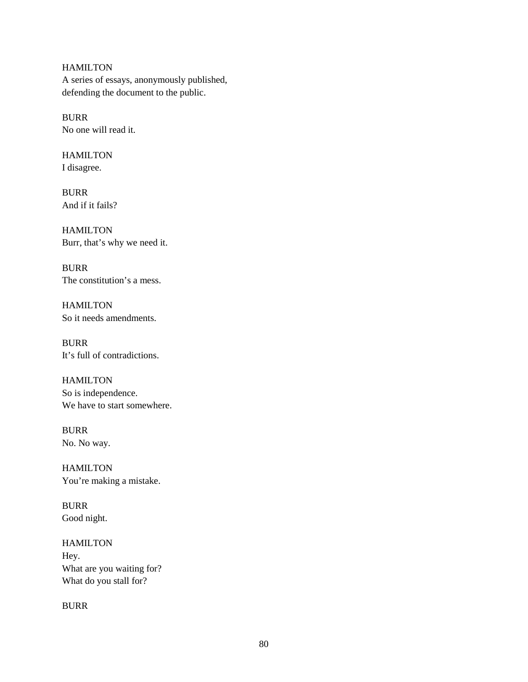## **HAMILTON**

A series of essays, anonymously published, defending the document to the public.

BURR No one will read it.

**HAMILTON** I disagree.

BURR And if it fails?

**HAMILTON** Burr, that's why we need it.

BURR The constitution's a mess.

**HAMILTON** So it needs amendments.

BURR It's full of contradictions.

**HAMILTON** So is independence. We have to start somewhere.

BURR No. No way.

HAMILTON You're making a mistake.

BURR Good night.

**HAMILTON** Hey. What are you waiting for? What do you stall for?

BURR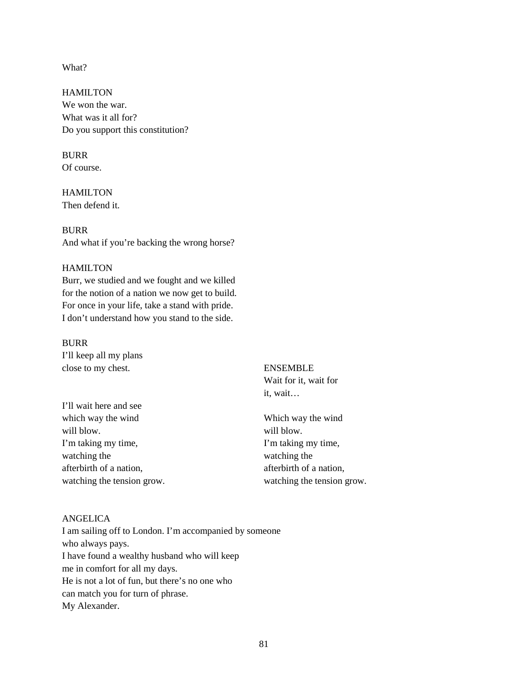#### What?

**HAMILTON** We won the war. What was it all for? Do you support this constitution?

## BURR

Of course.

# **HAMILTON**

Then defend it.

**BURR** And what if you're backing the wrong horse?

## **HAMILTON**

Burr, we studied and we fought and we killed for the notion of a nation we now get to build. For once in your life, take a stand with pride. I don't understand how you stand to the side.

#### BURR

I'll keep all my plans close to my chest.

I'll wait here and see which way the wind will blow. I'm taking my time, watching the afterbirth of a nation, watching the tension grow.

## ENSEMBLE

Wait for it, wait for it, wait…

Which way the wind will blow. I'm taking my time, watching the afterbirth of a nation, watching the tension grow.

## ANGELICA

I am sailing off to London. I'm accompanied by someone who always pays. I have found a wealthy husband who will keep me in comfort for all my days. He is not a lot of fun, but there's no one who can match you for turn of phrase. My Alexander.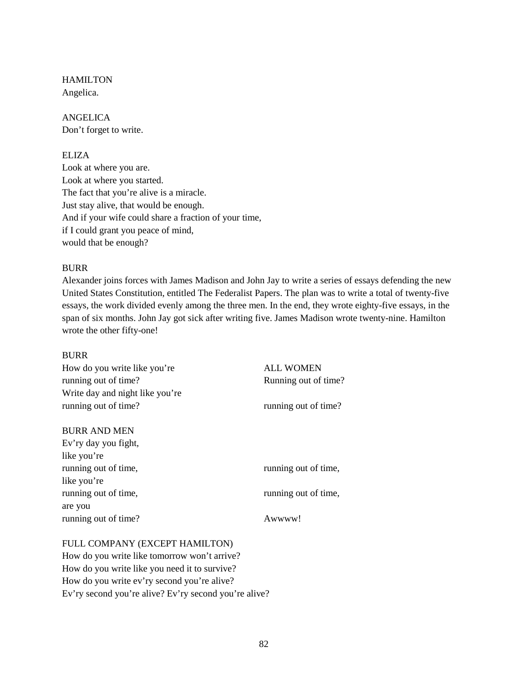**HAMILTON** Angelica.

ANGELICA Don't forget to write.

## ELIZA

Look at where you are. Look at where you started. The fact that you're alive is a miracle. Just stay alive, that would be enough. And if your wife could share a fraction of your time, if I could grant you peace of mind, would that be enough?

## BURR

Alexander joins forces with James Madison and John Jay to write a series of essays defending the new United States Constitution, entitled The Federalist Papers. The plan was to write a total of twenty-five essays, the work divided evenly among the three men. In the end, they wrote eighty-five essays, in the span of six months. John Jay got sick after writing five. James Madison wrote twenty-nine. Hamilton wrote the other fifty-one!

| <b>BURR</b>                     |                      |
|---------------------------------|----------------------|
| How do you write like you're    | <b>ALL WOMEN</b>     |
| running out of time?            | Running out of time? |
| Write day and night like you're |                      |
| running out of time?            | running out of time? |
|                                 |                      |
| <b>BURR AND MEN</b>             |                      |
| Ev'ry day you fight,            |                      |
| like you're                     |                      |
| running out of time,            | running out of time, |
| like you're                     |                      |
| running out of time,            | running out of time, |
| are you                         |                      |
| running out of time?            | Awwww!               |
|                                 |                      |

## FULL COMPANY (EXCEPT HAMILTON)

How do you write like tomorrow won't arrive? How do you write like you need it to survive? How do you write ev'ry second you're alive? Ev'ry second you're alive? Ev'ry second you're alive?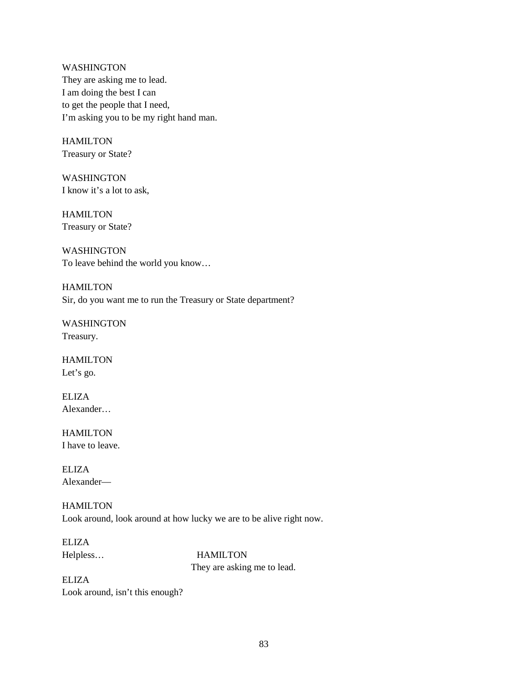WASHINGTON They are asking me to lead. I am doing the best I can to get the people that I need, I'm asking you to be my right hand man.

**HAMILTON** Treasury or State?

WASHINGTON I know it's a lot to ask,

**HAMILTON** Treasury or State?

WASHINGTON To leave behind the world you know…

HAMILTON Sir, do you want me to run the Treasury or State department?

WASHINGTON Treasury.

**HAMILTON** Let's go.

ELIZA Alexander…

HAMILTON I have to leave.

ELIZA Alexander—

**HAMILTON** Look around, look around at how lucky we are to be alive right now.

ELIZA

Helpless… HAMILTON They are asking me to lead.

ELIZA Look around, isn't this enough?